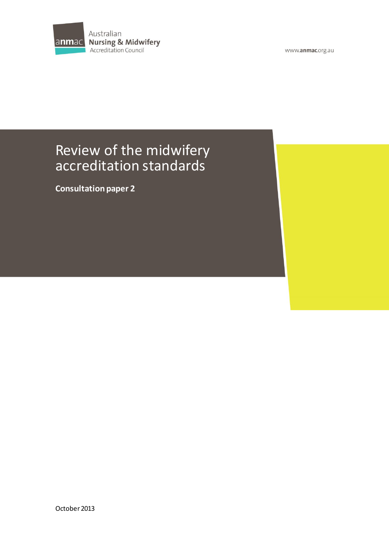

www.anmac.org.au

# Review of the midwifery accreditation standards

**Consultation paper 2**

October 2013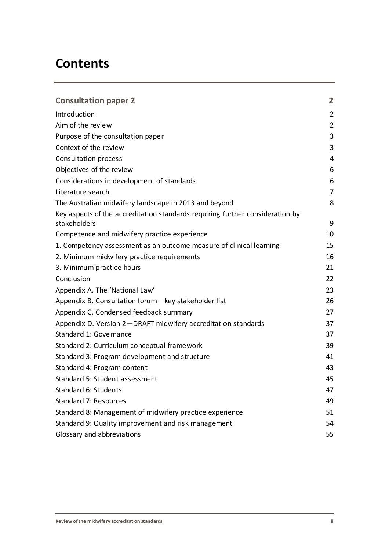# **Contents**

| <b>Consultation paper 2</b>                                                                   | $\overline{2}$ |
|-----------------------------------------------------------------------------------------------|----------------|
| Introduction                                                                                  | $\overline{2}$ |
| Aim of the review                                                                             | $\overline{2}$ |
| Purpose of the consultation paper                                                             | 3              |
| Context of the review                                                                         | 3              |
| <b>Consultation process</b>                                                                   | 4              |
| Objectives of the review                                                                      | 6              |
| Considerations in development of standards                                                    | 6              |
| Literature search                                                                             | 7              |
| The Australian midwifery landscape in 2013 and beyond                                         | 8              |
| Key aspects of the accreditation standards requiring further consideration by<br>stakeholders | 9              |
| Competence and midwifery practice experience                                                  | 10             |
| 1. Competency assessment as an outcome measure of clinical learning                           | 15             |
| 2. Minimum midwifery practice requirements                                                    | 16             |
| 3. Minimum practice hours                                                                     | 21             |
| Conclusion                                                                                    | 22             |
| Appendix A. The 'National Law'                                                                | 23             |
| Appendix B. Consultation forum-key stakeholder list                                           | 26             |
| Appendix C. Condensed feedback summary                                                        | 27             |
| Appendix D. Version 2-DRAFT midwifery accreditation standards                                 | 37             |
| Standard 1: Governance                                                                        | 37             |
| Standard 2: Curriculum conceptual framework                                                   | 39             |
| Standard 3: Program development and structure                                                 | 41             |
| Standard 4: Program content                                                                   | 43             |
| Standard 5: Student assessment                                                                | 45             |
| Standard 6: Students                                                                          | 47             |
| Standard 7: Resources                                                                         | 49             |
| Standard 8: Management of midwifery practice experience                                       | 51             |
| Standard 9: Quality improvement and risk management                                           | 54             |
| Glossary and abbreviations                                                                    | 55             |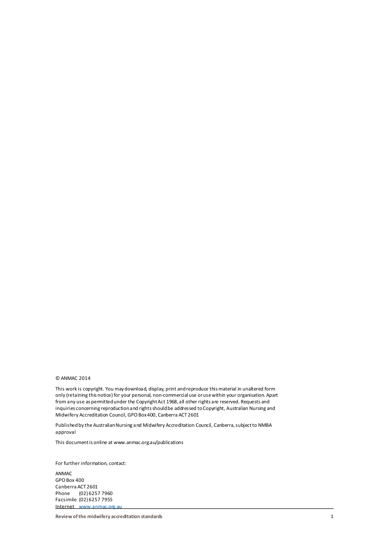#### © ANMAC 2014

This work is copyright. You may download, display, print and reproduce this material in unaltered form only (retaining this notice) for your personal, non-commercial use or use within your organisation. Apart from any use as permitted under the Copyright Act 1968, all other rights are reserved. Requests and inquiries concerning reproduction and rights should be addressed to Copyright, Australian Nursing and Midwifery Accreditation Council, GPO Box 400, Canberra ACT 2601

Published by the Australian Nursing and Midwifery Accreditation Council, Canberra, subject to NMBA approval

This document is online at www.anmac.org.au/publications

For further information, contact:

ANMAC GPO Box 400 Canberra ACT 2601 Phone (02) 6257 7960 Facsimile (02) 6257 7955 Internet [www.anmac.org.au](http://www.anmac.org.au/)

**Review of the midwifery accreditation standards 1**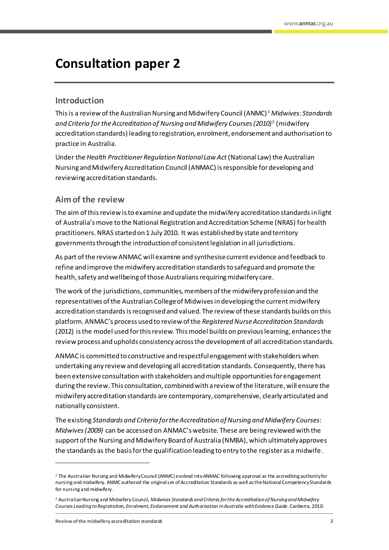# <span id="page-3-0"></span>**Consultation paper 2**

# <span id="page-3-1"></span>**Introduction**

This is a review of the Australian Nursing and Midwifery Council (ANMC) <sup>1</sup> *Midwives: Standards and Criteria for the Accreditation of Nursing and Midwifery Courses (2010)*<sup>2</sup> (midwifery accreditation standards) leading to registration, enrolment, endorsement and authorisation to practice in Australia.

Under the *Health Practitioner Regulation National Law Act* (National Law) the Australian Nursing and Midwifery Accreditation Council (ANMAC) is responsible for developing and reviewing accreditation standards.

# <span id="page-3-2"></span>**Aim of the review**

The aim of thisreview is to examine and update the midwifery accreditation standardsin light of Australia's move to the National Registration and Accreditation Scheme (NRAS) for health practitioners. NRAS started on 1 July 2010. It was established by state and territory governments through the introduction of consistent legislation in all jurisdictions.

As part of the review ANMAC will examine and synthesise current evidence and feedback to refine and improve the midwifery accreditation standards to safeguard and promote the health, safety and wellbeing of those Australians requiring midwifery care.

The work of the jurisdictions, communities, members of the midwifery profession and the representatives of the Australian College of Midwivesin developing the current midwifery accreditation standardsis recognised and valued. The review of these standards builds on this platform. ANMAC's process used to review of the *Registered Nurse Accreditation Standards* (2012) isthe model used for this review. This model builds on previous learning, enhances the review process and upholds consistency across the development of all accreditation standards.

ANMAC is committed to constructive and respectful engagement with stakeholders when undertaking any review and developing all accreditation standards. Consequently, there has been extensive consultation with stakeholders and multiple opportunities for engagement during the review. This consultation, combined with a review of the literature, will ensure the midwifery accreditation standards are contemporary, comprehensive, clearly articulated and nationally consistent.

The existing *Standards and Criteria for the Accreditation of Nursing and Midwifery Courses: Midwives (2009)* can be accessed on ANMAC's website. These are being reviewed with the support of the Nursing and Midwifery Board of Australia (NMBA), which ultimately approves the standards as the basis for the qualification leading to entry to the register as a midwife.

<sup>1</sup> The Australian Nursing and Midwifery Council (ANMC) evolved into ANMAC following approval as the accrediting authority for nursing and midwifery. ANMC authored the original set of Accreditation Standards as well as the National Competency Standards for nursing and midwifery.

<sup>2</sup> Australian Nursing and Midwifery Council, *Midwives Standards and Criteria for the Accreditation of Nursing and Midwifery Courses Leading to Registration, Enrolment, Endorsement and Authorisation in Australia with Evidence Guide*. Canberra, 2010.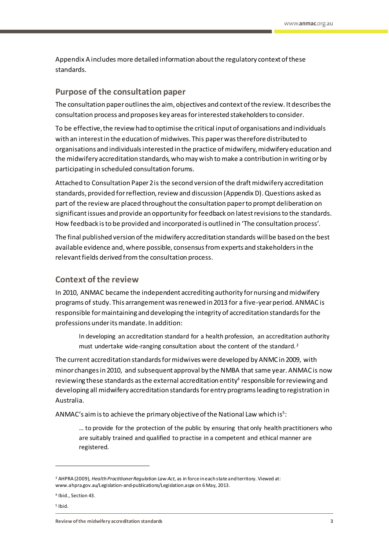Appendix A includes more detailed information about the regulatory context of these standards.

## <span id="page-4-0"></span>**Purpose of the consultation paper**

The consultation paper outlines the aim, objectives and context of the review. It describes the consultation process and proposes key areas for interested stakeholders to consider.

To be effective, the review had to optimise the critical input of organisations and individuals with an interest in the education of midwives. This paper was therefore distributed to organisations and individuals interested in the practice of midwifery, midwifery education and the midwifery accreditation standards, who may wish to make a contribution in writing or by participating in scheduled consultation forums.

Attached to Consultation Paper 2 is the second version of the draft midwifery accreditation standards, provided for reflection, review and discussion (Appendix D).Questions asked as part of the review are placed throughout the consultation paperto prompt deliberation on significantissues and provide an opportunity for feedback on latest revisions to the standards. How feedback is to be provided and incorporated is outlined in 'The consultation process'.

The final published version of the midwifery accreditation standards will be based on the best available evidence and, where possible, consensus fromexperts and stakeholders in the relevant fields derived from the consultation process.

# <span id="page-4-1"></span>**Context of the review**

In 2010, ANMAC became the independent accrediting authority for nursing and midwifery programs of study. This arrangement was renewed in 2013 for a five-year period. ANMAC is responsible for maintaining and developing the integrity of accreditation standards for the professions under its mandate. In addition:

In developing an accreditation standard for a health profession, an accreditation authority must undertake wide-ranging consultation about the content of the standard*. 3*

The current accreditation standards for midwives were developed by ANMC in 2009, with minor changes in 2010, and subsequent approval by the NMBA that same year. ANMAC is now reviewing these standards as the external accreditation entity $^4$  responsible for reviewing and developing all midwifery accreditation standards for entry programs leading to registration in Australia.

<code>ANMAC</code>'s aim is to achieve the primary objective of the National Law which is $^5$ :

… to provide for the protection of the public by ensuring that only health practitioners who are suitably trained and qualified to practise in a competent and ethical manner are registered.

<sup>3</sup> AHPRA (2009), *Health Practitioner Regulation Law Act*, as in force in each state and territory. Viewed at: www.ahpra.gov.au/Legislation-and-publications/Legislation.aspx on 6 May, 2013.

<sup>4</sup> Ibid., Section 43.

<sup>5</sup> Ibid.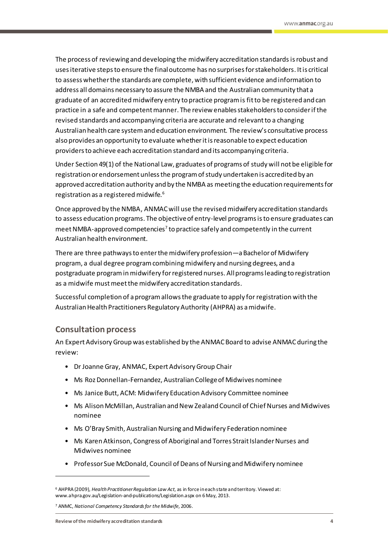The process of reviewing and developing the midwifery accreditation standards is robust and usesiterative steps to ensure the final outcome has no surprises for stakeholders. It is critical to assess whether the standards are complete, with sufficient evidence and information to address all domains necessary to assure the NMBA and the Australian community that a graduate of an accredited midwifery entry to practice program is fit to be registered and can practice in a safe and competent manner. The review enables stakeholdersto considerifthe revised standards and accompanying criteria are accurate and relevant to a changing Australian health care system and education environment. The review's consultative process also provides an opportunity to evaluate whether it is reasonable to expect education providers to achieve each accreditation standard and its accompanying criteria.

Under Section 49(1) of the National Law, graduates of programs of study will not be eligible for registration or endorsement unless the program of study undertaken is accredited by an approved accreditation authority and by the NMBA as meeting the education requirements for registration as a registered midwife.<sup>6</sup>

Once approved by the NMBA, ANMAC will use the revisedmidwifery accreditation standards to assess education programs. The objective of entry-level programs isto ensure graduates can meet NMBA-approved competencies<sup>7</sup> to practice safely and competently in the current Australian health environment.

There are three pathwaysto enter the midwifery profession—a Bachelor of Midwifery program, a dual degree program combiningmidwifery and nursing degrees, and a postgraduate program in midwifery for registered nurses. All programs leading to registration as a midwife mustmeet the midwifery accreditation standards.

Successful completion of a program allows the graduate to apply for registration with the Australian Health Practitioners Regulatory Authority (AHPRA) as amidwife.

# <span id="page-5-0"></span>**Consultation process**

An Expert Advisory Group was established by the ANMAC Board to advise ANMAC during the review:

- Dr Joanne Gray, ANMAC, Expert Advisory Group Chair
- Ms Roz Donnellan-Fernandez, Australian College of Midwives nominee
- Ms Janice Butt, ACM: Midwifery Education Advisory Committee nominee
- Ms Alison McMillan, Australian and New Zealand Council of Chief Nurses and Midwives nominee
- Ms O'Bray Smith, Australian Nursing and Midwifery Federation nominee
- Ms Karen Atkinson, Congress of Aboriginal and Torres Strait Islander Nurses and Midwives nominee
- Professor Sue McDonald, Council of Deans of Nursing and Midwifery nominee

<sup>6</sup> AHPRA (2009), *Health Practitioner Regulation Law Act*, as in force in each state and territory. Viewed at: www.ahpra.gov.au/Legislation-and-publications/Legislation.aspx on 6 May, 2013.

<sup>7</sup> ANMC, *National Competency Standards for the Midwife*, 2006.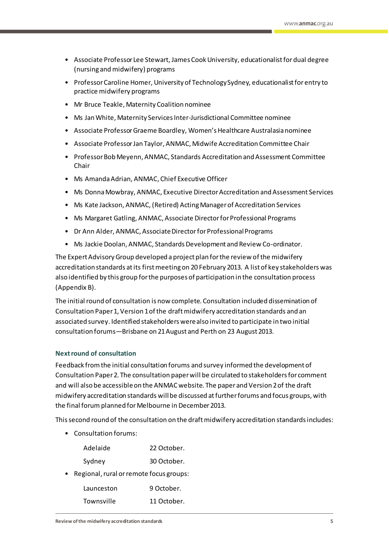- Associate Professor Lee Stewart, James Cook University, educationalist for dual degree (nursing and midwifery) programs
- Professor Caroline Homer, University of Technology Sydney, educationalist for entry to practice midwifery programs
- Mr Bruce Teakle, Maternity Coalition nominee
- Ms Jan White, Maternity Services Inter-Jurisdictional Committee nominee
- Associate Professor Graeme Boardley, Women's Healthcare Australasia nominee
- Associate Professor Jan Taylor, ANMAC, Midwife Accreditation Committee Chair
- Professor Bob Meyenn, ANMAC, Standards Accreditation and Assessment Committee Chair
- Ms Amanda Adrian, ANMAC, Chief Executive Officer
- Ms Donna Mowbray, ANMAC, Executive Director Accreditation and Assessment Services
- Ms Kate Jackson, ANMAC, (Retired) Acting Manager of Accreditation Services
- Ms Margaret Gatling, ANMAC, Associate Director for Professional Programs
- Dr Ann Alder, ANMAC, Associate Director for Professional Programs
- Ms Jackie Doolan, ANMAC, Standards Development and Review Co-ordinator.

The Expert Advisory Group developed a project plan for the review of the midwifery accreditation standards at its first meeting on 20 February 2013. A list of key stakeholders was also identified by this group for the purposes of participation in the consultation process (Appendix B).

The initial round of consultation is now complete. Consultation included dissemination of Consultation Paper 1, Version 1 of the draft midwifery accreditation standards and an associated survey. Identified stakeholders were also invited to participate in two initial consultation forums—Brisbane on 21 August and Perth on 23 August 2013.

### **Next round of consultation**

Feedback from the initial consultation forums and survey informed the development of Consultation Paper2. The consultation paper will be circulated to stakeholders for comment and will also be accessible on the ANMAC website. The paper and Version 2of the draft midwifery accreditation standards will be discussed at further forums and focus groups, with the final forum planned for Melbourne in December2013.

This second round of the consultation on the draft midwifery accreditation standardsincludes:

• Consultation forums:

| Adelaide | 22 October. |
|----------|-------------|
| Sydney   | 30 October. |

• Regional, rural or remote focus groups:

| Launceston | 9 October.  |
|------------|-------------|
| Townsville | 11 October. |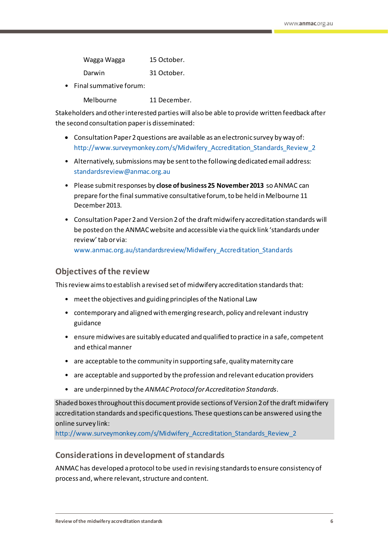| Wagga Wagga | 15 October. |
|-------------|-------------|
| Darwin      | 31 October. |

• Final summative forum:

Melbourne 11 December.

Stakeholders and other interested parties will also be able to provide written feedback after the second consultation paperis disseminated:

- Consultation Paper 2 questions are available as an electronic survey by way of: http://www.surveymonkey.com/s/Midwifery Accreditation Standards Review 2
- Alternatively, submissions may be sent to the following dedicated email address: [standardsreview@anmac.org.au](mailto:standardsreview@anmac.org.au?subject=Review%20of%20Midwifery%20Accreditation%20Standards%20)
- Please submit responses by **close of business 25 November 2013** so ANMAC can prepare for the final summative consultative forum, to be held in Melbourne 11 December 2013.
- Consultation Paper 2 and Version 2 of the draft midwifery accreditation standards will be posted on th[e ANMAC website](http://anmac.org.au/) and accessible via the quick link 'standards under review' tab or via:

[www.anmac.org.au/standardsreview/Midwifery\\_Accreditation\\_Standards](http://www.anmac.org.au/midwifery-accreditation-standards)

# <span id="page-7-0"></span>**Objectives of the review**

This review aimsto establish a revised set of midwifery accreditation standardsthat:

- meet the objectives and guiding principles of the National Law
- contemporary and aligned with emerging research, policy and relevant industry guidance
- ensure midwives are suitably educated and qualified to practice in a safe, competent and ethical manner
- are acceptable to the community in supporting safe, quality maternity care
- are acceptable and supported by the profession and relevant education providers
- are underpinned by the *ANMAC Protocolfor Accreditation Standards*.

Shaded boxes throughout this document provide sections of Version 2of the draft midwifery accreditation standards and specific questions. These questions can be answered using the online survey link:

[http://www.surveymonkey.com/s/Midwifery\\_Accreditation\\_Standards\\_Review\\_2](http://www.surveymonkey.com/s/Midwifery_Accreditation_Standards_Review_2)

# <span id="page-7-1"></span>**Considerations in development of standards**

ANMAC has developed a protocol to be used in revising standards to ensure consistency of process and, where relevant, structure and content.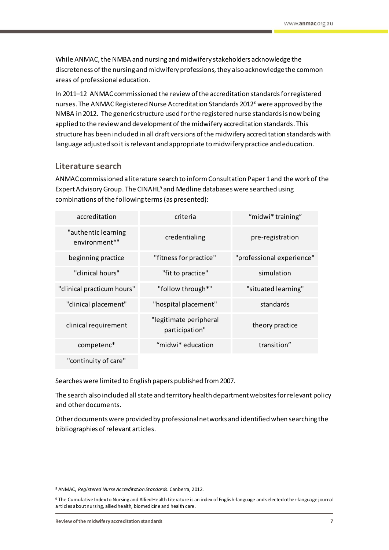While ANMAC, the NMBA and nursing and midwifery stakeholders acknowledge the discreteness of the nursing and midwifery professions, they also acknowledge the common areas of professional education.

In 2011–12 ANMAC commissioned the review of the accreditation standards for registered nurses. The ANMAC Registered Nurse Accreditation Standards 2012<sup>8</sup> were approved by the NMBA in 2012. The generic structure used for the registered nurse standardsis now being applied to the review and development of the midwifery accreditation standards. This structure has been included in all draft versions of the midwifery accreditation standards with language adjusted so it is relevant and appropriate to midwifery practice and education.

# <span id="page-8-0"></span>**Literature search**

ANMAC commissioned a literature search to inform Consultation Paper 1and the work of the Expert Advisory Group. The CINAHL<sup>9</sup> and Medline databases were searched using combinations of the following terms(as presented):

| accreditation                        | criteria                                 | "midwi* training"         |
|--------------------------------------|------------------------------------------|---------------------------|
| "authentic learning<br>environment*" | credentialing                            | pre-registration          |
| beginning practice                   | "fitness for practice"                   | "professional experience" |
| "clinical hours"                     | "fit to practice"                        | simulation                |
| "clinical practicum hours"           | "follow through*"                        | "situated learning"       |
| "clinical placement"                 | "hospital placement"                     | standards                 |
| clinical requirement                 | "legitimate peripheral<br>participation" | theory practice           |
| competenc*                           | "midwi* education                        | transition"               |
| "continuity of care"                 |                                          |                           |

Searches were limited to English papers published from 2007.

The search also included all state and territory health department websites for relevant policy and other documents.

Otherdocuments were provided by professional networks and identified when searching the bibliographies of relevant articles.

<sup>8</sup> ANMAC, *Registered Nurse Accreditation Standards*. Canberra, 2012.

<sup>9</sup> The Cumulative Index to Nursing and Allied Health Literature is an index of English-language and selected other-language journal articles about nursing, allied health, biomedicine and health care.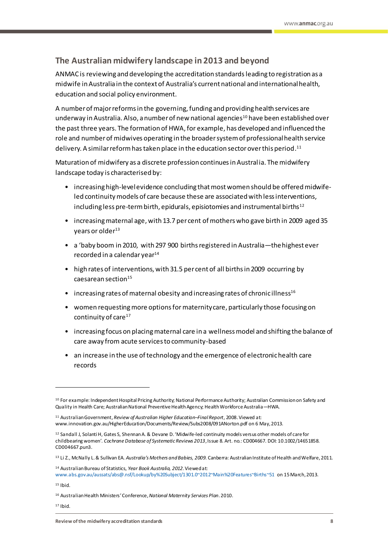# <span id="page-9-0"></span>**The Australian midwifery landscape in 2013 and beyond**

ANMAC is reviewing and developing the accreditation standards leading to registration as a midwife in Australia in the context of Australia's current national and international health, education and social policy environment.

A number of major reforms in the governing, funding and providing health services are underway in Australia. Also, a number of new national agencies<sup>10</sup> have been established over the past three years. The formation of HWA, for example, has developed and influenced the role and number of midwives operating in the broader system of professional health service delivery. A similar reform has taken place in the education sector over this period. $^{\rm 11}$ 

Maturation of midwifery as a discrete profession continues in Australia. The midwifery landscape today is characterised by:

- increasing high-level evidence concluding that most women should be offered midwifeled continuity models of care because these are associated with less interventions, including less pre-term birth, epidurals, episiotomies and instrumental births<sup>12</sup>
- increasing maternal age, with 13.7 per cent of mothers who gave birth in 2009 aged 35 years or older $13$
- a 'baby boom in 2010, with 297 900 births registered in Australia—the highest ever recorded in a calendar year $14$
- high rates of interventions, with 31.5 per cent of all births in 2009 occurring by caesarean section $15$
- increasing rates of maternal obesity and increasing rates of chronic illness<sup>16</sup>
- women requesting more options for maternity care, particularly those focusing on continuity of care<sup>17</sup>
- increasing focus on placing maternal care in a wellness model and shifting the balance of care away from acute services to community-based
- an increase in the use of technology and the emergence of electronic health care records

<sup>15</sup> Ibid.

<sup>&</sup>lt;sup>10</sup> For example: Independent Hospital Pricing Authority; National Performance Authority; Australian Commission on Safety and Quality in Health Care; Australian National Preventive Health Agency; Health Workforce Australia—HWA.

<sup>11</sup> Australian Government, *Review of Australian Higher Education–Final Report*, 2008. Viewed at: www.innovation.gov.au/HigherEducation/Documents/Review/Subs2008/091ANorton.pdf on 6 May, 2013.

<sup>12</sup> Sandall J, Solanti H, Gates S, Shennan A. & Devane D. 'Midwife-led continuity models versus other models of care for childbearing women'. *Cochrane Database of Systematic Reviews 2013*, Issue 8. Art. no.: CD004667. DOI: 10.1002/14651858. CD004667.pun3.

<sup>13</sup> Li Z., McNally L. & Sullivan EA. *Australia's Mothers and Babies, 2009*. Canberra: Australian Institute of Health and Welfare, 2011.

<sup>14</sup> Australian Bureau of Statistics, *Year Book Australia, 2012.*Viewed at: [www.abs.gov.au/aussats/abs@.nsf/Lookup/by%20Subject/1301.0~2012~Main%20Features~Births~51](http://www.abs.gov.au/aussats/abs@.nsf/Lookup/by%20Subject/1301.0~2012~Main%20Features~Births~51) on 15 March, 2013.

<sup>16</sup> Australian Health Ministers'Conference, *National Maternity Services Plan*. 2010.

<sup>17</sup> Ibid.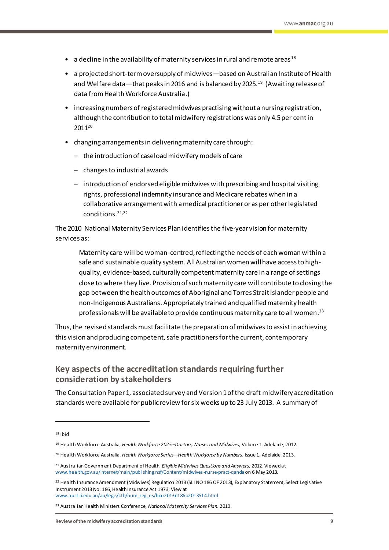- a decline in the availability of maternity services in rural and remote areas<sup>18</sup>
- a projected short-term oversupply of midwives—based on Australian Institute of Health and Welfare data—that peaks in 2016 and is balanced by 2025.<sup>19</sup> (Awaiting release of data from Health Workforce Australia.)
- increasing numbers of registered midwives practisingwithout a nursing registration, although the contribution to total midwifery registrations was only 4.5per centin 2011<sup>20</sup>
- changing arrangements in delivering maternity care through:
	- the introduction of caseload midwifery models of care
	- changes to industrial awards
	- introduction of endorsed eligible midwives with prescribing and hospital visiting rights, professional indemnity insurance and Medicare rebates when in a collaborative arrangement with a medical practitioner or as per other legislated conditions. 21,22

The 2010 National Maternity Services Plan identifies the five-year vision for maternity services as:

Maternity care will be woman-centred, reflecting the needs of each woman within a safe and sustainable quality system. All Australian women will have access to highquality, evidence-based, culturally competent maternity care in a range of settings close to where they live. Provision of such maternity care will contribute to closing the gap between the health outcomes of Aboriginal and Torres Strait Islander people and non-Indigenous Australians. Appropriately trained and qualified maternity health professionals will be available to provide continuous maternity care to all women. $^{\rm 23}$ 

Thus, the revised standards mustfacilitate the preparation of midwives to assist in achieving this vision and producing competent, safe practitioners for the current, contemporary maternity environment.

# <span id="page-10-0"></span>**Key aspects of the accreditation standards requiring further consideration by stakeholders**

The Consultation Paper 1, associated survey and Version 1 of the draft midwifery accreditation standards were available forpublic review for six weeks up to 23 July 2013. A summary of

 $18$  Ibid

<sup>19</sup> Health Workforce Australia, *Health Workforce 2025 –Doctors, Nurses and Midwives,* Volume 1. Adelaide, 2012.

<sup>20</sup> Health Workforce Australia, *Health Workforce Series—Health Workforce by Numbers*, Issue 1, Adelaide, 2013.

<sup>21</sup> Australian Government Department of Health, *Eligible Midwives Questions and Answers,* 2012. Viewed at [www.health.gov.au/internet/main/publishing.nsf/Content/midwives-nurse-pract-qanda](http://www.health.gov.au/internet/main/publishing.nsf/Content/midwives-nurse-pract-qanda) on 6 May 2013.

<sup>&</sup>lt;sup>22</sup> Health Insurance Amendment (Midwives) Regulation 2013 (SLI NO 186 OF 2013), Explanatory Statement, Select Legislative Instrument 2013 No. 186, Health Insurance Act 1973; View at [www.austlii.edu.au/au/legis/cth/num\\_reg\\_es/hiar2013n186o2013514.html](http://www.austlii.edu.au/au/legis/cth/num_reg_es/hiar2013n186o2013514.html)

<sup>23</sup> Australian Health Ministers Conference, *National Maternity Services Plan*. 2010.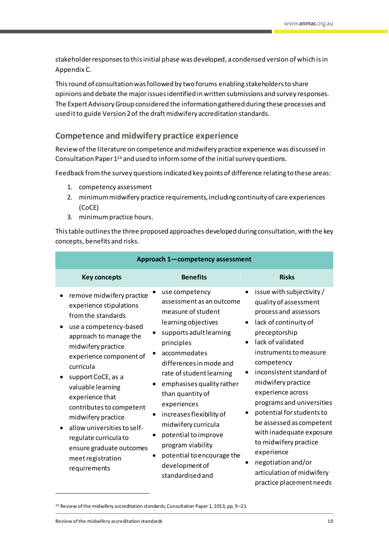stakeholder responses to thisinitial phase was developed, a condensed version of which is in Appendix C.

This round of consultation was followed by two forums enabling stakeholders to share opinions and debate the major issues identified in written submissions and survey responses. The Expert Advisory Group considered the information gathered during these processes and used it to guide Version 2 of the draft midwifery accreditation standards.

# <span id="page-11-0"></span>**Competence and midwifery practice experience**

Review of the literature on competence and midwifery practice experience was discussed in Consultation Paper 1<sup>24</sup> and used to inform some of the initial survey questions.

Feedback fromthe survey questions indicated key points of difference relating to these areas:

- 1. competency assessment
- 2. minimum midwifery practice requirements, including continuity of care experiences (CoCE)
- 3. minimum practice hours.

Thistable outlinesthe three proposed approaches developed during consultation, with the key concepts, benefits and risks.

| Approach 1-competency assessment                                                                                                                                                                                                                                                                                                                                                                                                      |                                                                                                                                                                                                                                                                                                                                                                                                                                                  |                                                                                                                                                                                                                                                                                                                                                                                                                                                                                                   |  |
|---------------------------------------------------------------------------------------------------------------------------------------------------------------------------------------------------------------------------------------------------------------------------------------------------------------------------------------------------------------------------------------------------------------------------------------|--------------------------------------------------------------------------------------------------------------------------------------------------------------------------------------------------------------------------------------------------------------------------------------------------------------------------------------------------------------------------------------------------------------------------------------------------|---------------------------------------------------------------------------------------------------------------------------------------------------------------------------------------------------------------------------------------------------------------------------------------------------------------------------------------------------------------------------------------------------------------------------------------------------------------------------------------------------|--|
| <b>Key concepts</b>                                                                                                                                                                                                                                                                                                                                                                                                                   | <b>Benefits</b>                                                                                                                                                                                                                                                                                                                                                                                                                                  | <b>Risks</b>                                                                                                                                                                                                                                                                                                                                                                                                                                                                                      |  |
| remove midwifery practice<br>experience stipulations<br>from the standards<br>use a competency-based<br>approach to manage the<br>midwifery practice<br>experience component of<br>curricula<br>support CoCE, as a<br>valuable learning<br>experience that<br>contributes to competent<br>midwifery practice<br>allow universities to self-<br>regulate curricula to<br>ensure graduate outcomes<br>meet registration<br>requirements | use competency<br>assessment as an outcome<br>measure of student<br>learning objectives<br>supports adult learning<br>principles<br>accommodates<br>differences in mode and<br>rate of student learning<br>emphasises quality rather<br>than quantity of<br>experiences<br>increases flexibility of<br>٠<br>midwifery curricula<br>potential to improve<br>program viability<br>potential to encourage the<br>development of<br>standardised and | issue with subjectivity /<br>quality of assessment<br>process and assessors<br>lack of continuity of<br>preceptorship<br>lack of validated<br>instruments to measure<br>competency<br>inconsistent standard of<br>midwifery practice<br>experience across<br>programs and universities<br>potential for students to<br>be assessed as competent<br>with inadequate exposure<br>to midwifery practice<br>experience<br>negotiation and/or<br>articulation of midwifery<br>practice placement needs |  |

<sup>24</sup> Review of the midwifery accreditation standards, Consultation Paper 1, 2013, pp. 9–21.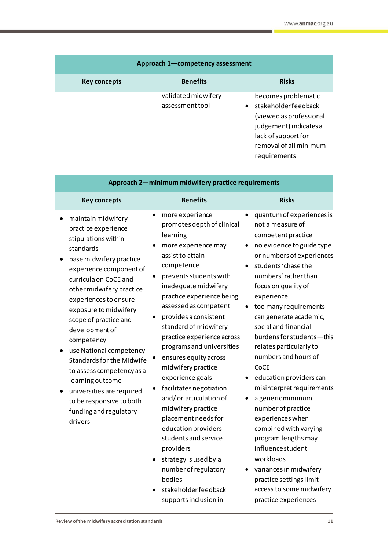| Approach 1-competency assessment |                                        |                                                                                                                                                                                |
|----------------------------------|----------------------------------------|--------------------------------------------------------------------------------------------------------------------------------------------------------------------------------|
| Key concepts                     | <b>Benefits</b>                        | <b>Risks</b>                                                                                                                                                                   |
|                                  | validated midwifery<br>assessment tool | becomes problematic<br>stakeholder feedback<br>$\bullet$<br>(viewed as professional<br>judgement) indicates a<br>lack of support for<br>removal of all minimum<br>requirements |

| Approach 2-minimum midwifery practice requirements                                                                                                                                                                                                                                                                                                                                                                                                                                                                |                                                                                                                                                                                                                                                                                                                                                                                                                                                                                                                                                                                                                                                                  |                                                                                                                                                                                                                                                                                                                                                                                                                                                                                                                                                                                                                                                                                             |  |
|-------------------------------------------------------------------------------------------------------------------------------------------------------------------------------------------------------------------------------------------------------------------------------------------------------------------------------------------------------------------------------------------------------------------------------------------------------------------------------------------------------------------|------------------------------------------------------------------------------------------------------------------------------------------------------------------------------------------------------------------------------------------------------------------------------------------------------------------------------------------------------------------------------------------------------------------------------------------------------------------------------------------------------------------------------------------------------------------------------------------------------------------------------------------------------------------|---------------------------------------------------------------------------------------------------------------------------------------------------------------------------------------------------------------------------------------------------------------------------------------------------------------------------------------------------------------------------------------------------------------------------------------------------------------------------------------------------------------------------------------------------------------------------------------------------------------------------------------------------------------------------------------------|--|
| <b>Key concepts</b>                                                                                                                                                                                                                                                                                                                                                                                                                                                                                               | <b>Benefits</b>                                                                                                                                                                                                                                                                                                                                                                                                                                                                                                                                                                                                                                                  | <b>Risks</b>                                                                                                                                                                                                                                                                                                                                                                                                                                                                                                                                                                                                                                                                                |  |
| maintain midwifery<br>practice experience<br>stipulations within<br>standards<br>base midwifery practice<br>experience component of<br>curricula on CoCE and<br>other midwifery practice<br>experiences to ensure<br>exposure to midwifery<br>scope of practice and<br>development of<br>competency<br>use National competency<br><b>Standards for the Midwife</b><br>to assess competency as a<br>learning outcome<br>universities are required<br>to be responsive to both<br>funding and regulatory<br>drivers | more experience<br>promotes depth of clinical<br>learning<br>more experience may<br>assist to attain<br>competence<br>prevents students with<br>inadequate midwifery<br>practice experience being<br>assessed as competent<br>provides a consistent<br>standard of midwifery<br>practice experience across<br>programs and universities<br>ensures equity across<br>٠<br>midwifery practice<br>experience goals<br>facilitates negotiation<br>and/or articulation of<br>midwifery practice<br>placement needs for<br>education providers<br>students and service<br>providers<br>strategy is used by a<br>number of regulatory<br>bodies<br>stakeholder feedback | quantum of experiences is<br>not a measure of<br>competent practice<br>no evidence to guide type<br>$\bullet$<br>or numbers of experiences<br>students 'chase the<br>numbers' rather than<br>focus on quality of<br>experience<br>too many requirements<br>can generate academic,<br>social and financial<br>burdens for students-this<br>relates particularly to<br>numbers and hours of<br>CoCE<br>education providers can<br>misinterpret requirements<br>a generic minimum<br>number of practice<br>experiences when<br>combined with varying<br>program lengths may<br>influence student<br>workloads<br>variances in midwifery<br>practice settings limit<br>access to some midwifery |  |

supports inclusion in

practice experiences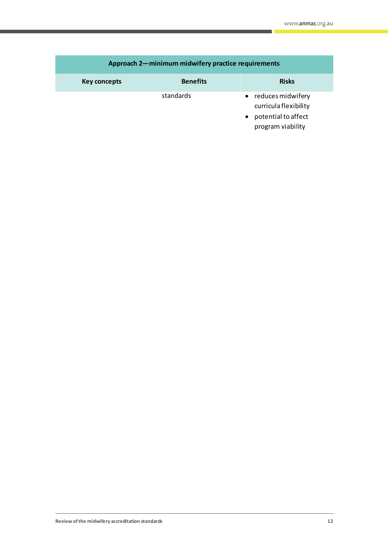| Approach 2-minimum midwifery practice requirements |                 |                                                                                                     |
|----------------------------------------------------|-----------------|-----------------------------------------------------------------------------------------------------|
| Key concepts                                       | <b>Benefits</b> | <b>Risks</b>                                                                                        |
|                                                    | standards       | reduces midwifery<br>$\bullet$<br>curricula flexibility<br>potential to affect<br>program viability |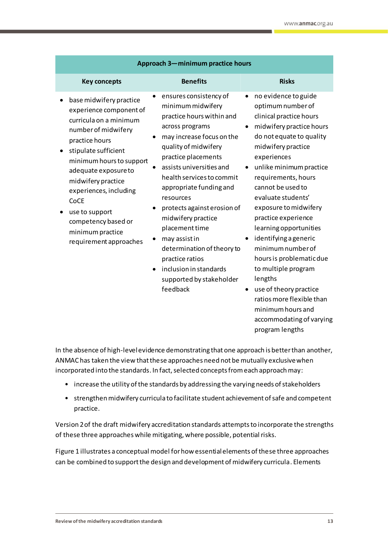| Approach 3-minimum practice hours                                                                                                                                                                                                                                                                                                                |                                                                                                                                                                                                                                                                                                                                                                                                                                                                                                  |                                                                                                                                                                                                                                                                                                                                                                                                                                                                                                                                                                   |
|--------------------------------------------------------------------------------------------------------------------------------------------------------------------------------------------------------------------------------------------------------------------------------------------------------------------------------------------------|--------------------------------------------------------------------------------------------------------------------------------------------------------------------------------------------------------------------------------------------------------------------------------------------------------------------------------------------------------------------------------------------------------------------------------------------------------------------------------------------------|-------------------------------------------------------------------------------------------------------------------------------------------------------------------------------------------------------------------------------------------------------------------------------------------------------------------------------------------------------------------------------------------------------------------------------------------------------------------------------------------------------------------------------------------------------------------|
| <b>Key concepts</b>                                                                                                                                                                                                                                                                                                                              | <b>Benefits</b>                                                                                                                                                                                                                                                                                                                                                                                                                                                                                  | <b>Risks</b>                                                                                                                                                                                                                                                                                                                                                                                                                                                                                                                                                      |
| base midwifery practice<br>experience component of<br>curricula on a minimum<br>number of midwifery<br>practice hours<br>stipulate sufficient<br>minimum hours to support<br>adequate exposure to<br>midwifery practice<br>experiences, including<br>CoCE<br>use to support<br>competency based or<br>minimum practice<br>requirement approaches | ensures consistency of<br>minimum midwifery<br>practice hours within and<br>across programs<br>may increase focus on the<br>quality of midwifery<br>practice placements<br>assists universities and<br>health services to commit<br>appropriate funding and<br>resources<br>protects against erosion of<br>midwifery practice<br>placement time<br>may assist in<br>determination of theory to<br>practice ratios<br>inclusion in standards<br>$\bullet$<br>supported by stakeholder<br>feedback | no evidence to guide<br>٠<br>optimum number of<br>clinical practice hours<br>midwifery practice hours<br>do not equate to quality<br>midwifery practice<br>experiences<br>unlike minimum practice<br>requirements, hours<br>cannot be used to<br>evaluate students'<br>exposure to midwifery<br>practice experience<br>learning opportunities<br>identifying a generic<br>minimum number of<br>hours is problematic due<br>to multiple program<br>lengths<br>use of theory practice<br>ratios more flexible than<br>minimum hours and<br>accommodating of varying |

In the absence of high-level evidence demonstrating that one approach is better than another, ANMAC has taken the view that these approaches need not be mutually exclusive when incorporated into the standards. In fact, selected concepts from each approach may:

- increase the utility of the standards by addressing the varying needs of stakeholders
- strengthen midwifery curricula to facilitate student achievement of safe and competent practice.

Version 2 of the draft midwifery accreditation standards attempts to incorporate the strengths of these three approaches while mitigating, where possible, potential risks.

Figure 1 illustrates a conceptual model for how essential elements of these three approaches can be combined to support the design and development of midwifery curricula. Elements

program lengths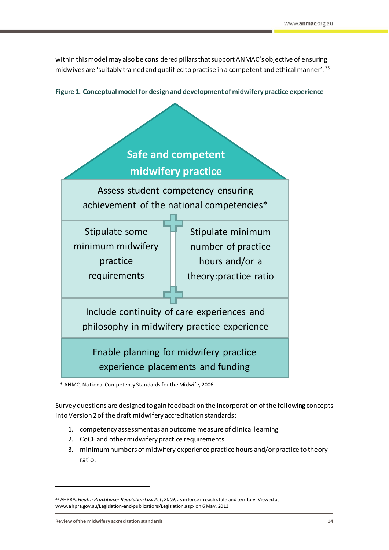within this model may also be considered pillars that support ANMAC's objective of ensuring midwives are 'suitably trained and qualified to practise in a competent and ethical manner' .<sup>25</sup>

**Figure 1. Conceptual model for design and development of midwifery practice experience**



\* ANMC, National Competency Standards for the Midwife, 2006.

Survey questions are designed to gain feedback on the incorporation of the following concepts into Version 2 of the draft midwifery accreditation standards:

- 1. competency assessment as an outcome measure of clinical learning
- 2. CoCE and other midwifery practice requirements
- 3. minimum numbers of midwifery experience practice hours and/or practice to theory ratio.

<sup>25</sup> AHPRA, *Health Practitioner Regulation Law Act*, *2009*, as in force in each state and territory. Viewed at www.ahpra.gov.au/Legislation-and-publications/Legislation.aspx on 6 May, 2013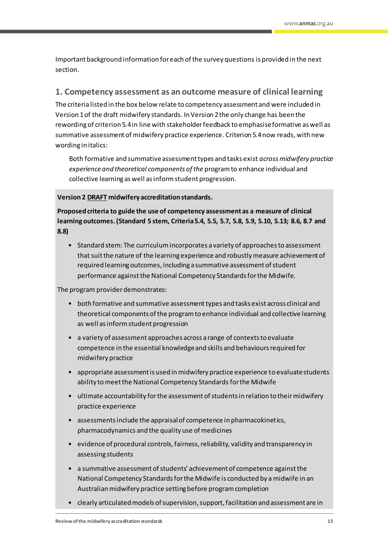Important background information for each of the survey questions is provided in the next section.

# <span id="page-16-0"></span>**1. Competency assessment as an outcome measure of clinical learning**

The criteria listed in the box below relate to competency assessment and were included in Version 1 of the draft midwifery standards. In Version 2 the only change has been the rewording of criterion 5.4 in line with stakeholderfeedback to emphasiseformative as well as summative assessment of midwifery practice experience. Criterion 5.4 now reads, with new wording in italics:

Both formative and summative assessment types and tasks exist *across midwifery practice experience and theoretical components of the* program to enhance individual and collective learning as well as inform student progression.

# **Version 2 DRAFT midwifery accreditation standards.**

**Proposed criteria to guide the use of competency assessment as a measure of clinical learning outcomes. (Standard 5 stem, Criteria 5.4, 5.5, 5.7, 5.8, 5.9, 5.10, 5.13; 8.6, 8.7 and 8.8)**

• Standard stem: The curriculum incorporates a variety of approaches to assessment that suit the nature of the learning experience and robustly measure achievement of required learning outcomes, including a summative assessment of student performance against the National Competency Standards for the Midwife.

The program provider demonstrates:

- both formative and summative assessment types and tasks exist across clinical and theoretical components of the program to enhance individual and collective learning as well as informstudent progression
- a variety of assessment approaches across a range of contexts to evaluate competence in the essential knowledge and skills and behaviours required for midwifery practice
- appropriate assessment is used in midwifery practice experience to evaluate students ability to meet the National Competency Standards for the Midwife
- ultimate accountability for the assessment of students in relation to their midwifery practice experience
- assessments include the appraisal of competence in pharmacokinetics, pharmacodynamics and the quality use of medicines
- evidence of procedural controls, fairness, reliability, validity and transparency in assessing students
- a summative assessment of students' achievement of competence against the National Competency Standards for the Midwife is conducted by a midwife in an Australian midwifery practice setting before program completion
- clearly articulated models of supervision, support, facilitation and assessment are in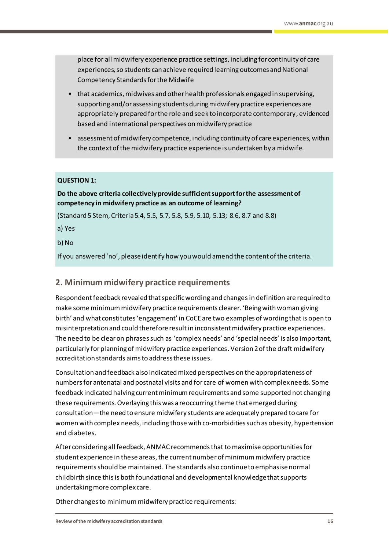place for all midwifery experience practice settings, including for continuity of care experiences, so students can achieve required learning outcomes and National Competency Standards for the Midwife

- that academics, midwives and other health professionals engaged in supervising, supporting and/or assessing students during midwifery practice experiences are appropriately prepared for the role and seek to incorporate contemporary, evidenced based and international perspectives on midwifery practice
- assessment of midwifery competence, including continuity of care experiences, within the context of the midwifery practice experience is undertaken by a midwife.

### **QUESTION 1:**

# **Do the above criteria collectively provide sufficient support for the assessmentof competency in midwifery practice as an outcome of learning?**

(Standard 5 Stem, Criteria 5.4, 5.5, 5.7, 5.8, 5.9, 5.10, 5.13; 8.6, 8.7 and 8.8)

a) Yes

b) No

If you answered 'no', please identify how you would amend the content of the criteria.

# <span id="page-17-0"></span>**2. Minimum midwifery practice requirements**

Respondent feedback revealed that specific wording and changesin definition are required to make some minimum midwifery practice requirements clearer. 'Being with woman giving birth' and what constitutes 'engagement' in CoCEare two examples of wording that is open to misinterpretation and could therefore resultin inconsistent midwifery practice experiences. The need to be clear on phrases such as 'complex needs' and 'special needs' is also important, particularly for planning of midwifery practice experiences. Version 2 of the draft midwifery accreditation standards aimsto address these issues.

Consultation and feedback also indicatedmixed perspectives on the appropriateness of numbersfor antenatal and postnatal visits and for care of women with complex needs. Some feedback indicated halving current minimum requirements and some supported not changing these requirements.Overlaying this was a reoccurring theme that emerged during consultation—the need to ensure midwifery students are adequately prepared to care for women with complex needs, including those with co-morbidities such as obesity, hypertension and diabetes.

After considering all feedback, ANMAC recommends that to maximise opportunities for student experience in these areas, the current number of minimum midwifery practice requirementsshould be maintained. The standards also continue to emphasise normal childbirth since this is both foundational and developmental knowledgethat supports undertaking more complex care.

Other changes to minimum midwifery practice requirements: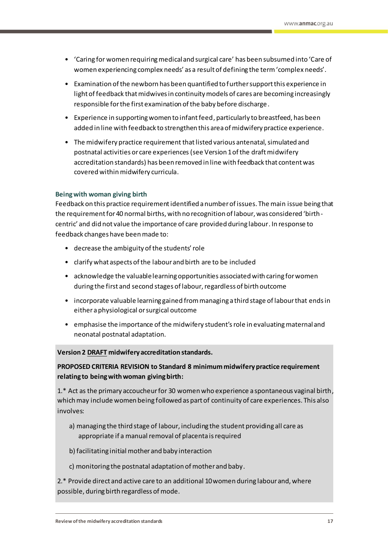- 'Caring for women requiring medical and surgical care' has been subsumed into 'Care of women experiencing complex needs' as a result of defining the term'complex needs'.
- Examination of the newborn has been quantified to further support this experience in light of feedback that midwives in continuity models of cares are becoming increasingly responsible for the first examination of the baby before discharge.
- Experience in supporting women to infant feed, particularly to breastfeed, has been added in line with feedback to strengthen this area of midwifery practice experience.
- The midwifery practice requirement that listed various antenatal, simulated and postnatal activities or care experiences (see Version 1 of the draft midwifery accreditation standards) has been removed in line with feedback that content was covered within midwifery curricula.

#### **Being with woman giving birth**

Feedback on this practice requirement identified a number of issues. The main issue being that the requirement for 40 normal births, with no recognition of labour, was considered 'birthcentric' and did not value the importance of care provided during labour. In response to feedback changes have been made to:

- decrease the ambiguity of the students' role
- clarify what aspects of the labour and birth are to be included
- acknowledge the valuablelearning opportunities associated with caring for women during the first and second stages of labour, regardless of birth outcome
- incorporate valuable learning gained from managing a third stage of labour that endsin either a physiological or surgical outcome
- emphasise the importance of the midwifery student's role in evaluating maternal and neonatal postnatal adaptation.

#### **Version 2 DRAFT midwifery accreditation standards.**

### **PROPOSED CRITERIA REVISION to Standard 8 minimum midwifery practice requirement relating to being with woman giving birth:**

1.\* Act as the primary accoucheur for 30 women who experience a spontaneous vaginal birth, which may include women being followed as part of continuity of care experiences. This also involves:

- a) managing the third stage of labour, including the student providing all care as appropriate if a manual removal of placenta is required
- b) facilitating initial mother and baby interaction
- c) monitoring the postnatal adaptation of mother and baby.

2.\* Provide direct and active care to an additional 10 women during labour and, where possible, during birth regardless of mode.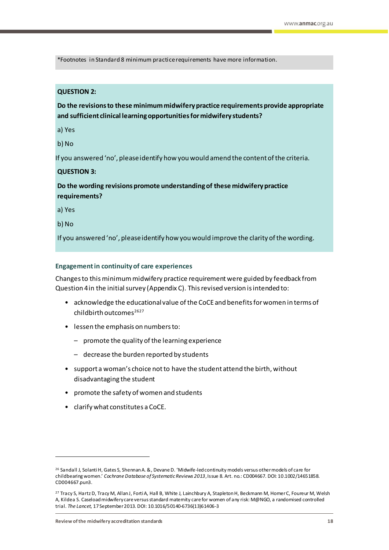\*Footnotes in Standard 8 minimum practice requirements have more information.

### **QUESTION 2:**

**Do the revisions to these minimum midwifery practice requirements provide appropriate and sufficient clinical learning opportunities for midwifery students?**

a) Yes

b) No

If you answered 'no', please identify how you would amend the content of the criteria.

### **QUESTION 3:**

**Do the wording revisions promote understanding of these midwifery practice requirements?**

a) Yes

b) No

 $\overline{a}$ 

If you answered 'no', please identify how you would improve the clarity of the wording.

#### **Engagement in continuity of care experiences**

Changes to thisminimum midwifery practice requirement were guided by feedback from Question 4 in the initial survey (Appendix C). Thisrevised version is intended to:

- acknowledge the educational value of the CoCE and benefits for women in terms of childbirth outcomes $2627$
- lessen the emphasis on numbers to:
	- promote the quality of the learning experience
	- decrease the burden reported by students
- support a woman's choice not to have the student attend the birth, without disadvantaging the student
- promote the safety of women and students
- clarify what constitutes a CoCE.

<sup>26</sup> Sandall J, Solanti H, Gates S, Shennan A. &, Devane D. 'Midwife-led continuity models versus other models of care for childbearing women.' *Cochrane Database of Systematic Reviews 2013*, Issue 8. Art. no.: CD004667. DOI: 10.1002/14651858. CD004667.pun3.

<sup>&</sup>lt;sup>27</sup> Tracy S, Hartz D, Tracy M, Allan J, Forti A, Hall B, White J, Lainchbury A, Stapleton H, Beckmann M, Homer C, Foureur M, Welsh A, Kildea S. Caseload midwifery care versus standard maternity care for women of any risk: M@NGO, a randomised controlled trial. *The Lancet*, 17 September 2013. DOI: 10.1016/50140-6736(13)61406-3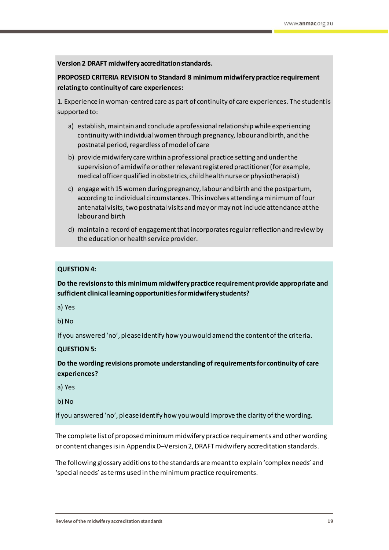**Version 2 DRAFT midwifery accreditation standards.**

**PROPOSED CRITERIA REVISION to Standard 8 minimum midwifery practice requirement relating to continuity of care experiences:**

1. Experience in woman-centred care as part of continuity of care experiences. The student is supported to:

- a) establish, maintain and conclude a professional relationship while experiencing continuity with individual women through pregnancy, labour and birth, and the postnatal period, regardless of model of care
- b) provide midwifery care within a professional practice setting and under the supervision of a midwife or other relevant registered practitioner (for example, medical officer qualified in obstetrics, child health nurse or physiotherapist)
- c) engage with 15 women during pregnancy, labour and birth and the postpartum, according to individual circumstances. This involves attending a minimum of four antenatal visits, two postnatal visits and may or may not include attendance at the labour and birth
- d) maintain a record of engagement that incorporates regular reflection and review by the education or health service provider.

### **QUESTION 4:**

**Do the revisions to this minimum midwifery practice requirement provide appropriate and sufficient clinical learning opportunities for midwifery students?**

a) Yes

b) No

If you answered 'no', please identify how you would amend the content of the criteria.

#### **QUESTION 5:**

**Do the wording revisions promote understanding of requirements for continuity of care experiences?**

a) Yes

b) No

If you answered 'no', please identify how you would improve the clarity of the wording.

The complete list of proposed minimum midwifery practice requirements and other wording or content changes is in Appendix D-Version 2, DRAFT midwifery accreditation standards.

The following glossary additionsto the standards are meant to explain 'complex needs' and 'special needs' as terms used in the minimum practice requirements.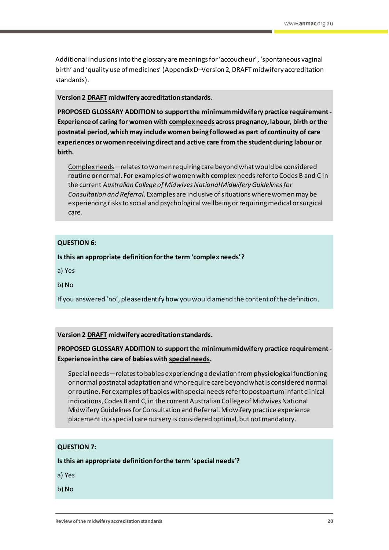Additional inclusions into the glossary are meanings for 'accoucheur', 'spontaneous vaginal birth' and 'quality use of medicines' (Appendix D–Version 2, DRAFT midwifery accreditation standards).

#### **Version 2 DRAFT midwifery accreditation standards.**

**PROPOSED GLOSSARY ADDITION to supportthe minimum midwifery practice requirement-Experience of caring for women with complex needs across pregnancy, labour, birth or the postnatal period, which may include women being followed as part of continuity of care experiences or women receiving direct and active care from the student during labour or birth.**

Complex needs—relates to women requiring care beyond what would be considered routine or normal. For examples of women with complex needs refer to Codes B and C in the current *Australian College of Midwives National Midwifery Guidelines for Consultation and Referral*. Examples are inclusive of situations where women may be experiencing risks to social and psychological wellbeing or requiring medical or surgical care.

### **QUESTION 6:**

**Is this an appropriate definition for the term 'complex needs'?**

a) Yes

b) No

If you answered 'no', please identify how you would amend the content of the definition.

### **Version 2 DRAFT midwifery accreditation standards.**

# **PROPOSED GLOSSARY ADDITION to supportthe minimum midwifery practice requirement-Experience in the care of babies with special needs.**

Special needs—relates to babies experiencing a deviation from physiological functioning or normal postnatal adaptation and who require care beyond what is considered normal or routine. For examples of babies with special needs refer to postpartum infant clinical indications, Codes B and C, in the current Australian College of Midwives National Midwifery Guidelines for Consultation and Referral. Midwifery practice experience placement in a special care nursery is considered optimal, but not mandatory.

### **QUESTION 7:**

**Is this an appropriate definition for the term 'special needs'?**

a) Yes

b) No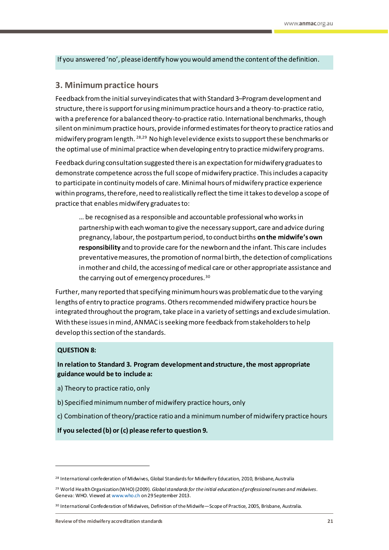If you answered 'no', please identify how you would amend the content of the definition.

# <span id="page-22-0"></span>**3. Minimum practice hours**

Feedback from the initial survey indicates that with Standard 3–Program development and structure, there is support for usingminimum practice hours and a theory-to-practice ratio, with a preference for a balanced theory-to-practice ratio. International benchmarks, though silent on minimum practice hours, provide informed estimatesfor theory to practice ratios and midwifery programlength. 28,29 No high level evidence existsto support these benchmarks or the optimal use of minimal practice when developing entry to practice midwifery programs.

Feedback during consultation suggested there is an expectation for midwifery graduates to demonstrate competence across the full scope of midwifery practice. This includes a capacity to participate in continuity models of care. Minimal hours of midwifery practice experience within programs, therefore, need to realistically reflect the time it takes to develop a scope of practice that enables midwifery graduates to:

… be recognised as a responsible and accountable professional who works in partnership with each woman to give the necessary support, care and advice during pregnancy, labour, the postpartum period, to conduct births **on the midwife's own responsibility** and to provide care for the newborn and the infant. This care includes preventative measures, the promotion of normal birth, the detection of complications in mother and child, the accessing of medical care or other appropriate assistance and the carrying out of emergency procedures.<sup>30</sup>

Further, many reported that specifying minimum hours was problematic due to the varying lengths of entry to practice programs. Others recommended midwifery practice hours be integrated throughout the program, take place in a variety of settings and exclude simulation. With these issues in mind, ANMAC is seeking more feedback from stakeholders to help develop this section of the standards.

#### **QUESTION 8:**

 $\overline{a}$ 

**In relation to Standard 3. Program development and structure, the most appropriate guidance would be to include a:**

- a) Theory to practice ratio, only
- b) Specified minimum number of midwifery practice hours, only
- c) Combination of theory/practice ratio and a minimum number of midwifery practice hours

**If you selected (b) or (c) please refer to question 9.**

<sup>&</sup>lt;sup>28</sup> International confederation of Midwives, Global Standards for Midwifery Education, 2010, Brisbane, Australia

<sup>29</sup> World Health Organization (WHO) (2009). *Global standards for the initial education of professional nurses and midwives*. Geneva: WHO. Viewed a[t www.who.ch](http://www.who.ch/) on 29 September 2013.

<sup>30</sup> International Confederation of Midwives, Definition of the Midwife—Scope of Practice, 2005, Brisbane, Australia.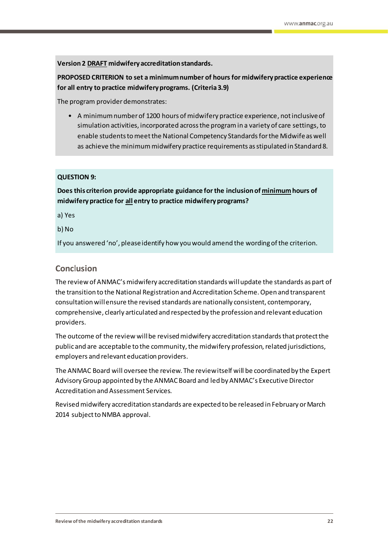**Version 2 DRAFT midwifery accreditation standards.**

**PROPOSED CRITERION to set a minimum number of hours for midwifery practice experience for all entry to practice midwifery programs. (Criteria 3.9)**

The program provider demonstrates:

• A minimum number of 1200 hours of midwifery practice experience, not inclusive of simulation activities, incorporated acrossthe program in a variety of care settings, to enable students to meetthe National Competency Standardsforthe Midwifeas well as achieve the minimum midwifery practice requirements as stipulated in Standard 8.

### **QUESTION 9:**

**Does this criterion provide appropriate guidance for the inclusion of minimumhours of midwifery practice for all entry to practice midwifery programs?**

a) Yes

b) No

If you answered 'no', please identify how you would amend the wording of the criterion.

# <span id="page-23-0"></span>**Conc**l**usion**

The review of ANMAC's midwifery accreditation standards will update the standards as part of the transition to the National Registration and Accreditation Scheme. Open and transparent consultation will ensure the revised standards are nationally consistent, contemporary, comprehensive, clearly articulated and respected by the profession and relevant education providers.

The outcome of the review will be revised midwifery accreditation standardsthat protect the public and are acceptable to the community, the midwifery profession, related jurisdictions, employers and relevant education providers.

The ANMAC Board will oversee the review. The review itself will be coordinated by the Expert Advisory Group appointed by the ANMAC Board and led by ANMAC's Executive Director Accreditation and Assessment Services.

Revised midwifery accreditation standards are expected to be released in February or March 2014 subject to NMBA approval.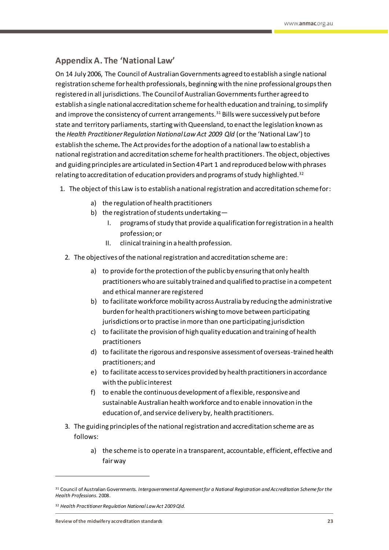# <span id="page-24-0"></span>**Appendix A. The 'National Law'**

On 14 July 2006, The Council of Australian Governments agreed to establish a single national registration scheme for health professionals, beginning with the nine professional groups then registered in all jurisdictions. The Council of Australian Governments further agreed to establish a single national accreditation scheme for health education and training, to simplify and improve the consistency of current arrangements.<sup>31</sup> Bills were successively put before state and territory parliaments, starting with Queensland, to enact the legislation known as the *Health Practitioner Regulation National Law Act 2009 Qld* (or the 'National Law') to establish the scheme*.* The Act provides for the adoption of a national law to establish a national registration and accreditation scheme for health practitioners. The object, objectives and guiding principles are articulated in Section 4 Part 1 and reproduced below with phrases relating to accreditation of education providers and programs of study highlighted.<sup>32</sup>

- 1. The object of this Law is to establish a national registration and accreditation scheme for:
	- a) the regulation of health practitioners
	- b) the registration of students undertaking—
		- I. programs of study that provide a qualification for registration in a health profession; or
		- II. clinical training in a health profession.
	- 2. The objectives of the national registration and accreditation scheme are:
		- a) to provide for the protection of the public by ensuring that only health practitioners who are suitably trained and qualified to practise in a competent and ethical manner are registered
		- b) to facilitate workforce mobility across Australia by reducing the administrative burden for health practitioners wishing to move between participating jurisdictions or to practise in more than one participating jurisdiction
		- c) to facilitate the provision of high quality education and training of health practitioners
		- d) to facilitate the rigorous and responsive assessment of overseas-trained health practitioners; and
		- e) to facilitate access to services provided by health practitioners in accordance with the public interest
		- f) to enable the continuous development of a flexible, responsive and sustainable Australian health workforce and to enable innovation in the education of, and service delivery by, health practitioners.
	- 3. The guiding principles of the national registration and accreditation scheme are as follows:
		- a) the scheme is to operate in a transparent, accountable, efficient, effective and fair way

<sup>31</sup> Council of Australian Governments. *Intergovernmental Agreement for a National Registration and Accreditation Scheme for the Health Professions*. 2008.

<sup>32</sup> *Health Practitioner Regulation National Law Act 2009 Qld*.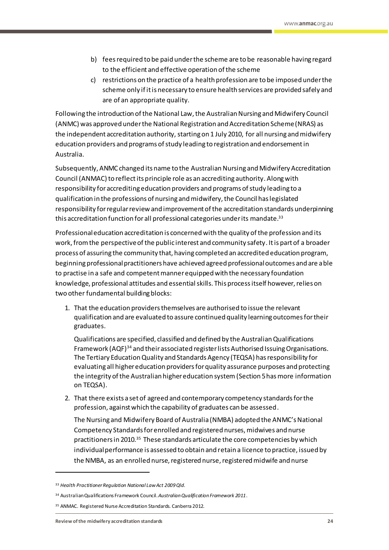- b) fees required to be paid under the scheme are to be reasonable having regard to the efficient and effective operation of the scheme
- c) restrictions on the practice of a health profession are to be imposed under the scheme only if it is necessary to ensure health services are provided safely and are of an appropriate quality.

Following the introduction of the National Law, the Australian Nursing and Midwifery Council (ANMC) was approved under the National Registration and Accreditation Scheme (NRAS) as the independent accreditation authority, starting on 1 July 2010, for all nursing and midwifery education providers and programs of study leading to registration and endorsement in Australia.

Subsequently, ANMC changed its name to the Australian Nursing and Midwifery Accreditation Council (ANMAC) to reflect its principle role as an accrediting authority. Along with responsibility for accrediting education providers and programs of study leading to a qualification in the professions of nursing and midwifery, the Council has legislated responsibility for regular review and improvement of the accreditation standards underpinning this accreditation function for all professional categories under its mandate.<sup>33</sup>

Professional education accreditation is concerned with the quality of the profession and its work, from the perspective of the public interest and community safety. It is part of a broader process of assuring the community that, having completed an accredited education program, beginning professional practitioners have achieved agreed professional outcomes and are able to practise in a safe and competent manner equipped with the necessary foundation knowledge, professional attitudes and essential skills. This process itself however, relies on two other fundamental building blocks:

1. That the education providers themselves are authorised to issue the relevant qualification and are evaluated to assure continued quality learning outcomes for their graduates.

Qualifications are specified, classified and defined by the Australian Qualifications Framework (AQF)<sup>34</sup> and their associated register lists Authorised Issuing Organisations. The Tertiary Education Quality and Standards Agency (TEQSA) has responsibility for evaluating all higher education providers for quality assurance purposes and protecting the integrity of the Australian higher education system (Section 5 hasmore information on TEQSA).

2. That there exists a set of agreed and contemporary competency standards for the profession, against which the capability of graduates can be assessed.

The Nursing and Midwifery Board of Australia (NMBA) adopted the ANMC's National Competency Standards for enrolled and registered nurses, midwives and nurse practitioners in 2010.<sup>35</sup> These standards articulate the core competencies by which individual performance is assessed to obtain and retain a licence to practice, issued by the NMBA, as an enrolled nurse, registered nurse, registered midwife and nurse

<sup>33</sup> *Health Practitioner Regulation National Law Act 2009 Qld*.

<sup>34</sup> Australian Qualifications Framework Council. *Australian Qualification Framework 2011*.

<sup>35</sup> ANMAC. Registered Nurse Accreditation Standards. Canberra 2012.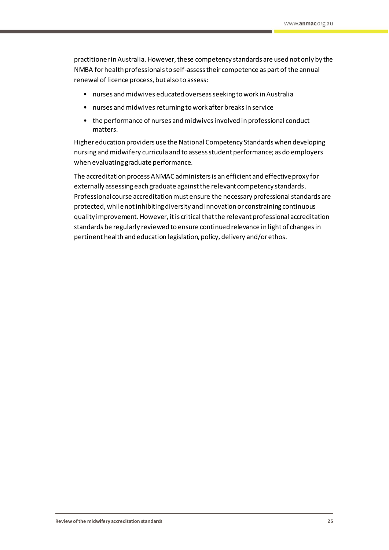practitioner in Australia. However, these competency standards are used not only by the NMBA for health professionals to self-assess their competence as part of the annual renewal of licence process, but also to assess:

- nurses and midwives educated overseas seeking to work in Australia
- nurses and midwives returning to work after breaks in service
- the performance of nurses and midwives involved in professional conduct matters.

Higher education providers use the National Competency Standards when developing nursing and midwifery curricula and to assess student performance; as do employers when evaluating graduate performance.

The accreditation process ANMAC administersis an efficient and effective proxy for externally assessing each graduate against the relevant competency standards. Professional course accreditation must ensure the necessary professional standards are protected, while not inhibiting diversity and innovation or constraining continuous quality improvement. However, it is critical that the relevant professional accreditation standards be regularly reviewed to ensure continued relevance in light of changes in pertinent health and education legislation, policy, delivery and/or ethos.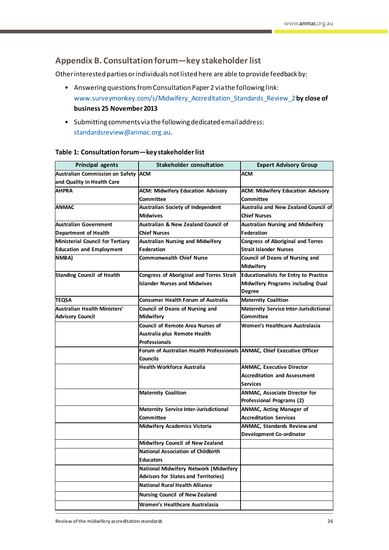# <span id="page-27-0"></span>**Appendix B. Consultation forum—key stakeholder list**

Other interested parties or individuals not listed here are able to provide feedback by:

- Answering questions from Consultation Paper 2 via the following link: [www.surveymonkey.com/s/Midwifery\\_Accreditation\\_Standards\\_Review\\_2](http://www.surveymonkey.com/s/Midwifery_Accreditation_Standards_Review_2)**by close of business 25 November 2013**
- Submitting comments via the following dedicated email address: [standardsreview@anmac.org.au](mailto:standardsreview@anmac.org.au?subject=Review%20of%20Midwifery%20Accreditation%20Standards%20).

| <b>Principal agents</b>             | <b>Stakeholder consultation</b>                                         | <b>Expert Advisory Group</b>                 |
|-------------------------------------|-------------------------------------------------------------------------|----------------------------------------------|
| Australian Commission on Safety ACM |                                                                         | <b>ACM</b>                                   |
| and Quality in Health Care          |                                                                         |                                              |
| <b>AHPRA</b>                        | <b>ACM: Midwifery Education Advisory</b>                                | <b>ACM: Midwifery Education Advisory</b>     |
|                                     | Committee                                                               | Committee                                    |
| <b>ANMAC</b>                        | Australian Society of Independent                                       | <b>Australia and New Zealand Council of</b>  |
|                                     | <b>Midwives</b>                                                         | <b>Chief Nurses</b>                          |
| Australian Government               | Australian & New Zealand Council of                                     | <b>Australian Nursing and Midwifery</b>      |
| <b>Department of Health</b>         | <b>Chief Nurses</b>                                                     | <b>Federation</b>                            |
| Ministerial Council for Tertiary    | <b>Australian Nursing and Midwifery</b>                                 | <b>Congress of Aboriginal and Torres</b>     |
| <b>Education and Employment</b>     | <b>Federation</b>                                                       | <b>Strait Islander Nurses</b>                |
| NMBA)                               | <b>Commonwealth Chief Nurse</b>                                         | <b>Council of Deans of Nursing and</b>       |
|                                     |                                                                         | <b>Midwifery</b>                             |
| <b>Standing Council of Health</b>   | Congress of Aboriginal and Torres Strait                                | <b>Educationalists for Entry to Practice</b> |
|                                     | <b>Islander Nurses and Midwives</b>                                     | Midwifery Programs including Dual            |
|                                     |                                                                         | <b>Degree</b>                                |
| TEQSA                               | <b>Consumer Health Forum of Australia</b>                               | <b>Maternity Coalition</b>                   |
| Australian Health Ministers'        | Council of Deans of Nursing and                                         | Maternity Service Inter-Jurisdictional       |
| <b>Advisory Council</b>             | <b>Midwifery</b>                                                        | Committee                                    |
|                                     | <b>Council of Remote Area Nurses of</b>                                 | Women's Healthcare Australasia               |
|                                     | Australia plus Remote Health                                            |                                              |
|                                     | <b>Professionals</b>                                                    |                                              |
|                                     | Forum of Australian Health Professionals ANMAC, Chief Executive Officer |                                              |
|                                     | <b>Councils</b>                                                         |                                              |
|                                     | <b>Health Workforce Australia</b>                                       | <b>ANMAC, Executive Director</b>             |
|                                     |                                                                         | <b>Accreditation and Assessment</b>          |
|                                     |                                                                         | <b>Services</b>                              |
|                                     | <b>Maternity Coalition</b>                                              | <b>ANMAC, Associate Director for</b>         |
|                                     |                                                                         | Professional Programs (2)                    |
|                                     | <b>Maternity Service Inter-Jurisdictional</b>                           | ANMAC, Acting Manager of                     |
|                                     | Committee                                                               | <b>Accreditation Services</b>                |
|                                     | <b>Midwifery Academics Victoria</b>                                     | <b>ANMAC, Standards Review and</b>           |
|                                     |                                                                         | <b>Development Co-ordinator</b>              |
|                                     | Midwifery Council of New Zealand                                        |                                              |
|                                     | <b>National Association of Childbirth</b>                               |                                              |
|                                     | <b>Educators</b>                                                        |                                              |
|                                     | National Midwifery Network (Midwifery                                   |                                              |
|                                     | <b>Advisors for States and Territories)</b>                             |                                              |
|                                     | <b>National Rural Health Alliance</b>                                   |                                              |
|                                     | <b>Nursing Council of New Zealand</b>                                   |                                              |
|                                     | Women's Healthcare Australasia                                          |                                              |

#### **Table 1: Consultation forum—key stakeholder list**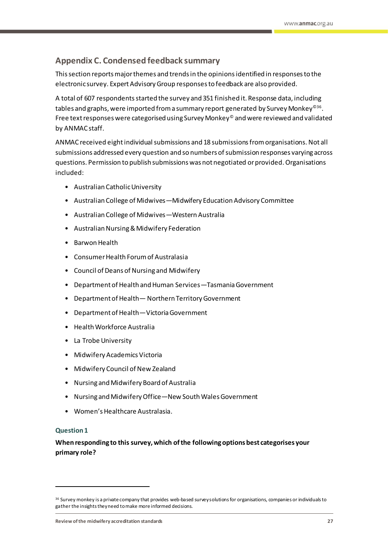# <span id="page-28-0"></span>**Appendix C. Condensed feedback summary**

This section reports major themes and trends in the opinions identified in responses to the electronic survey. Expert Advisory Group responsesto feedback are also provided.

A total of 607 respondents started the survey and 351 finished it. Response data, including tables and graphs, were imported from a summary report generated by Survey Monkey<sup>©36</sup>. Free text responses were categorised using Survey Monkey© and were reviewed and validated by ANMAC staff.

ANMAC received eightindividual submissions and 18 submissions from organisations. Not all submissions addressed every question and so numbers of submission responses varying across questions. Permission to publish submissions was not negotiated or provided. Organisations included:

- Australian Catholic University
- Australian College of Midwives—Midwifery Education Advisory Committee
- Australian College of Midwives—Western Australia
- Australian Nursing & Midwifery Federation
- Barwon Health
- Consumer Health Forum of Australasia
- Council of Deans of Nursing and Midwifery
- Department of Health and Human Services—Tasmania Government
- Department of Health— Northern Territory Government
- Department of Health—Victoria Government
- Health Workforce Australia
- La Trobe University
- Midwifery Academics Victoria
- Midwifery Council of New Zealand
- Nursing and Midwifery Board of Australia
- Nursing and Midwifery Office—New South Wales Government
- Women's Healthcare Australasia.

### **Question 1**

 $\overline{a}$ 

**When responding to this survey, which of the following options best categorises your primary role?**

<sup>&</sup>lt;sup>36</sup> Survey monkey is a private company that provides web-based survey solutions for organisations, companies or individuals to gather the insights they need to make more informed decisions.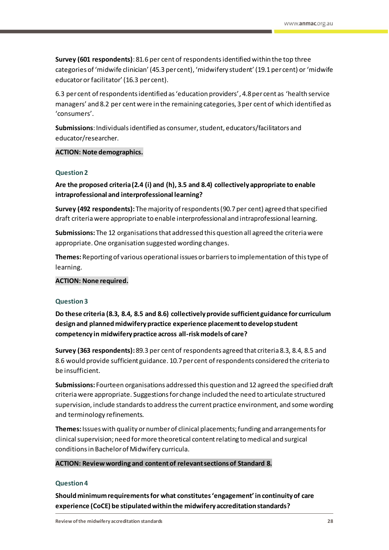**Survey (601 respondents)**: 81.6 per cent of respondents identified within the top three categories of 'midwife clinician' (45.3 per cent), 'midwifery student' (19.1per cent) or 'midwife educator or facilitator' (16.3 per cent).

6.3 per cent of respondents identified as 'education providers', 4.8per cent as 'health service managers' and 8.2 per centwere in the remaining categories, 3per cent of which identified as 'consumers'.

**Submissions**:Individuals identified as consumer, student, educators/facilitators and educator/researcher.

#### **ACTION: Note demographics.**

#### **Question 2**

**Are the proposed criteria (2.4 (i) and (h), 3.5 and 8.4) collectively appropriate to enable intraprofessional and interprofessional learning?**

**Survey (492 respondents):** The majority of respondents (90.7per cent) agreed that specified draft criteria were appropriate to enable interprofessional and intraprofessional learning.

**Submissions:** The 12 organisations that addressed this question all agreed the criteria were appropriate. One organisation suggested wording changes.

**Themes:**Reporting of various operational issues or barriers to implementation of this type of learning.

#### **ACTION: None required.**

#### **Question 3**

**Do these criteria (8.3, 8.4, 8.5 and 8.6) collectively provide sufficient guidance for curriculum design and planned midwifery practice experience placement to develop student competency in midwifery practice across all-risk models of care?**

**Survey (363 respondents):** 89.3 per cent of respondents agreed that criteria 8.3, 8.4, 8.5 and 8.6 would provide sufficient guidance. 10.7per cent of respondents considered the criteria to be insufficient.

**Submissions:** Fourteen organisations addressed this question and 12 agreed the specified draft criteria were appropriate. Suggestionsfor change included the need to articulate structured supervision, include standardsto address the current practice environment, and some wording and terminology refinements.

**Themes:**Issues with quality or number of clinical placements; funding and arrangements for clinical supervision; need for more theoretical content relating to medical and surgical conditions in Bachelor of Midwifery curricula.

#### **ACTION: Review wording and content of relevant sections of Standard 8.**

#### **Question 4**

**Should minimum requirements for what constitutes 'engagement' in continuity of care experience (CoCE) be stipulated within the midwifery accreditation standards?**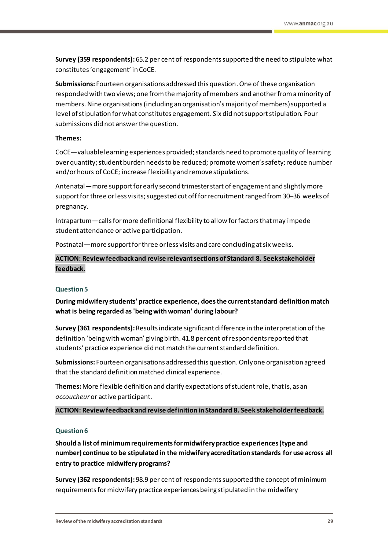**Survey (359 respondents):** 65.2 per cent of respondents supported the need to stipulate what constitutes 'engagement' in CoCE.

**Submissions:** Fourteen organisations addressed this question. One of these organisation responded with two views; one from the majority of members and another from a minority of members. Nine organisations (including an organisation's majority of members) supported a level of stipulation for what constitutes engagement. Six did not support stipulation. Four submissions did not answer the question.

#### **Themes:**

CoCE—valuable learning experiences provided; standards need to promote quality of learning over quantity;student burden needs to be reduced; promote women's safety;reduce number and/or hours of CoCE; increase flexibility and remove stipulations.

Antenatal—more support for early second trimester start of engagement and slightlymore support for three or less visits; suggested cut off for recruitment ranged from 30-36 weeks of pregnancy.

Intrapartum—callsfor more definitional flexibility to allow for factors that may impede student attendance or active participation.

Postnatal—more support for three or less visits and care concluding at six weeks.

**ACTION: Review feedback and revise relevant sectionsof Standard 8. Seek stakeholder feedback.**

#### **Question 5**

**During midwifery students' practice experience, does the current standard definition match what is being regarded as 'being with woman' during labour?**

**Survey (361 respondents):** Results indicate significant difference in the interpretation of the definition 'being with woman' giving birth. 41.8 per cent of respondents reported that students' practice experience did not match the current standard definition.

**Submissions:** Fourteen organisations addressed this question. Only one organisation agreed that the standard definition matched clinical experience.

T**hemes:**More flexible definition and clarify expectations of student role,that is, as an *accoucheur* or active participant.

**ACTION: Review feedback and revise definition in Standard 8. Seek stakeholder feedback.**

#### **Question 6**

**Should a list of minimum requirements for midwifery practice experiences (type and number) continue to be stipulated in the midwifery accreditation standards for use across all entry to practice midwifery programs?**

**Survey (362 respondents):** 98.9 per cent of respondents supported the concept of minimum requirements for midwifery practice experiences being stipulated in the midwifery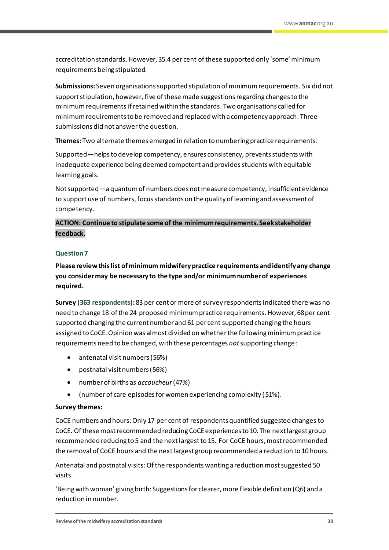accreditation standards. However, 35.4 per cent of these supported only 'some'minimum requirements being stipulated.

**Submissions:** Seven organisations supported stipulation of minimum requirements. Six did not support stipulation, however, five of these made suggestions regarding changes to the minimum requirements if retained within the standards. Two organisations called for minimum requirements to be removed and replaced with a competency approach. Three submissions did not answer the question.

**Themes:** Two alternate themes emerged in relation to numberingpractice requirements:

Supported—helps to develop competency, ensures consistency, prevents students with inadequate experience being deemed competent and provides students with equitable learning goals.

Not supported—a quantum of numbers does not measure competency, insufficient evidence to support use of numbers, focus standards on the quality of learning and assessment of competency.

# **ACTION: Continue to stipulate some of the minimum requirements. Seek stakeholder feedback.**

# **Question 7**

**Please review this list of minimum midwifery practice requirements and identify any change you consider may be necessary to the type and/or minimum number of experiences required.**

**Survey (363 respondents):** 83 per cent or more of survey respondentsindicated there was no need to change 18 of the 24 proposed minimum practice requirements. However, 68 per cent supported changing the current number and 61 per cent supported changing the hours assigned to CoCE. Opinion was almost divided on whether the following minimum practice requirements need to be changed, with these percentages *not*supporting change:

- antenatal visit numbers (56%)
- postnatal visit numbers (56%)
- number of births as *accoucheur*(47%)
- (number of care episodes for women experiencing complexity (51%).

# **Survey themes:**

CoCE numbers and hours:Only 17 per cent of respondents quantified suggested changesto CoCE. Of these most recommended reducing CoCE experiences to 10. The next largest group recommended reducing to 5 and the next largest to 15. For CoCE hours, most recommended the removal of CoCE hours and the next largest group recommended a reduction to 10 hours.

Antenatal and postnatal visits:Of the respondents wanting a reduction most suggested 50 visits.

'Being with woman' giving birth: Suggestions for clearer, more flexible definition (Q6) and a reduction in number.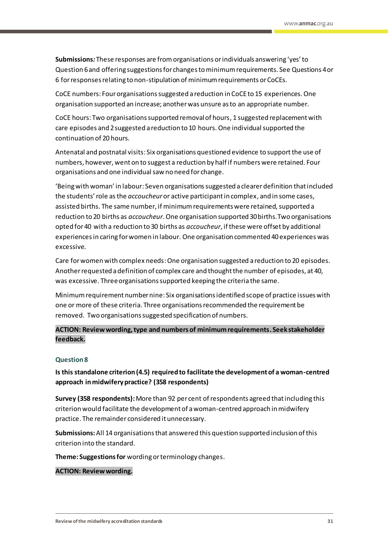**Submissions***:* These responses are from organisations or individuals answering 'yes' to Question 6 and offering suggestions for changesto minimum requirements. See Questions 4 or 6 for responses relating to non-stipulation of minimum requirements or CoCEs.

CoCE numbers: Four organisations suggested a reduction in CoCE to 15 experiences. One organisation supported an increase; another was unsure as to an appropriate number.

CoCE hours: Two organisations supported removal of hours, 1 suggested replacement with care episodes and 2suggested a reduction to 10 hours. One individual supported the continuation of 20 hours.

Antenatal and postnatal visits: Six organisations questioned evidence to support the use of numbers, however, went on to suggest a reduction by half if numberswere retained. Four organisations and one individual saw no need for change.

'Being with woman' in labour: Seven organisations suggested a clearer definition that included the students' role as the *accoucheur*or active participant in complex, and in some cases, assisted births. The same number, if minimum requirements were retained, supported a reduction to 20 births as *accoucheur*. One organisation supported 30 births.Two organisations opted for 40 with a reduction to 30 births as *accoucheur*, if these were offset by additional experiences in caring for women in labour. One organisation commented 40experiences was excessive.

Care for women with complex needs:One organisation suggested a reduction to 20 episodes. Another requested a definition of complex care and thought the number of episodes, at 40, was excessive. Threeorganisations supported keeping the criteria the same.

Minimum requirement number nine: Six organisations identified scope of practice issues with one or more of these criteria. Three organisations recommended the requirement be removed. Two organisations suggested specification of numbers.

# **ACTION: Review wording, type and numbers of minimum requirements. Seek stakeholder feedback.**

### **Question 8**

**Is this standalone criterion (4.5) required to facilitate the development of a woman-centred approach in midwifery practice? (358 respondents)**

**Survey (358 respondents):** More than 92 per cent of respondents agreed that including this criterion would facilitate the development of a woman-centred approach in midwifery practice. The remainder considered it unnecessary.

**Submissions:**All 14 organisations that answered this question supported inclusion of this criterion into the standard.

**Theme: Suggestions for** wording or terminology changes.

#### **ACTION: Review wording.**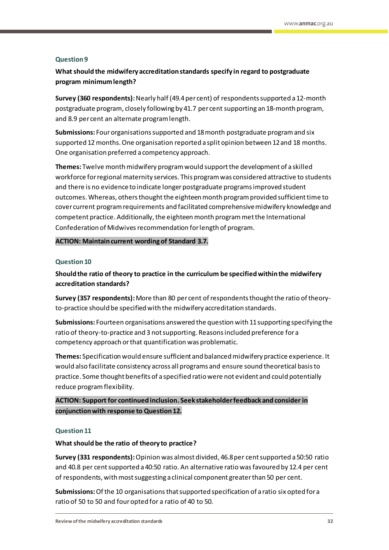#### **Question 9**

# **What should the midwifery accreditation standards specify in regard to postgraduate program minimum length?**

**Survey (360 respondents):**Nearly half (49.4per cent) of respondents supported a 12-month postgraduate program, closely following by 41.7 per cent supporting an 18-month program, and 8.9 per cent an alternate program length.

**Submissions:** Fourorganisations supported and 18 month postgraduate program and six supported 12 months. One organisation reported a split opinion between 12 and 18 months. One organisation preferred a competency approach.

**Themes:** Twelve month midwifery program would support the development of a skilled workforce for regional maternity services. This program was considered attractive to students and there is no evidenceto indicate longer postgraduate programs improved student outcomes.Whereas, others thought the eighteen month program provided sufficient time to cover current program requirements and facilitated comprehensive midwifery knowledge and competent practice. Additionally, the eighteenmonth program met the International Confederation of Midwives recommendation for length of program.

### **ACTION: Maintain current wording of Standard 3.7.**

#### **Question 10**

**Should the ratio of theory to practice in the curriculum be specified within the midwifery accreditation standards?**

**Survey (357 respondents):**More than 80 per cent ofrespondents thought the ratio of theoryto-practice should be specified with the midwifery accreditation standards.

**Submissions:** Fourteen organisations answered the question with 11supporting specifying the ratio of theory-to-practice and 3 not supporting. Reasons included preference for a competency approach or that quantification was problematic.

**Themes:** Specification would ensure sufficient and balanced midwifery practice experience. It would also facilitate consistency across all programs and ensure sound theoretical basisto practice. Some thought benefits of a specified ratio were not evident and could potentially reduce program flexibility.

**ACTION: Support for continued inclusion. Seek stakeholder feedback and consider in conjunction with response to Question 12.**

#### **Question 11**

#### **What should be the ratio of theory to practice?**

**Survey (331 respondents):**Opinion was almost divided, 46.8per cent supported a 50:50 ratio and 40.8 per centsupported a 40:50 ratio. An alternative ratio was favoured by 12.4 per cent of respondents, with most suggesting a clinical component greater than 50 per cent.

**Submissions:**Of the 10 organisations that supported specification of a ratio six opted for a ratio of 50 to 50 and fouropted for a ratio of 40 to 50.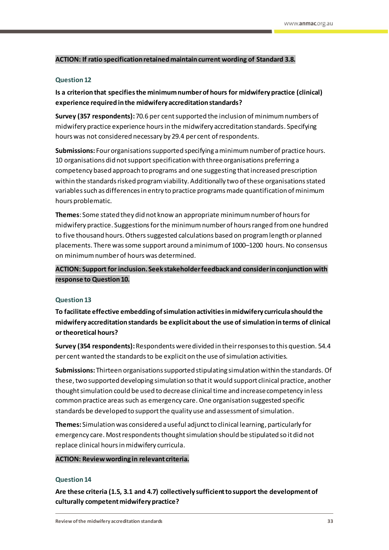#### **ACTION: If ratio specification retained maintain current wording of Standard 3.8.**

#### **Question 12**

# **Is a criterion that specifies the minimum number of hours for midwifery practice (clinical) experience required in the midwifery accreditation standards?**

**Survey (357 respondents):**70.6 per centsupported the inclusion of minimum numbers of midwifery practice experience hours in the midwifery accreditation standards. Specifying hours was not considered necessary by 29.4 per cent of respondents.

**Submissions:** Fourorganisations supported specifying a minimum number of practice hours. 10 organisations did not support specification with threeorganisations preferring a competency based approach to programs and one suggesting that increased prescription within the standards risked program viability. Additionally two of these organisations stated variables such as differences in entry to practice programs made quantification of minimum hours problematic.

**Themes**: Some stated they did not know an appropriate minimum number of hoursfor midwifery practice. Suggestions for the minimumnumberof hours ranged from one hundred to five thousand hours. Others suggested calculations based on program length or planned placements. There was some support around aminimum of 1000–1200 hours. No consensus on minimum number of hours was determined.

**ACTION: Support for inclusion. Seek stakeholder feedback and consider in conjunction with response to Question 10.**

#### **Question 13**

**To facilitate effective embedding of simulation activities in midwifery curricula should the midwifery accreditation standards be explicit about the use of simulation in terms of clinical or theoretical hours?**

**Survey (354 respondents):**Respondents were divided in their responses to this question. 54.4 per cent wanted the standards to be explicit on the use of simulation activities.

**Submissions:** Thirteen organisations supported stipulating simulation within the standards. Of these, two supported developing simulation so that it would support clinical practice, another thought simulation could be used to decrease clinical time and increase competency in less common practice areas such as emergency care. One organisation suggested specific standards be developed to support the quality use and assessment of simulation.

**Themes:** Simulation was considered a useful adjunct to clinical learning, particularly for emergency care. Mostrespondentsthought simulation should be stipulated so it did not replace clinical hours in midwifery curricula.

#### **ACTION: Review wording in relevant criteria.**

#### **Question 14**

**Are these criteria (1.5, 3.1 and 4.7) collectively sufficient to support the development of culturally competent midwifery practice?**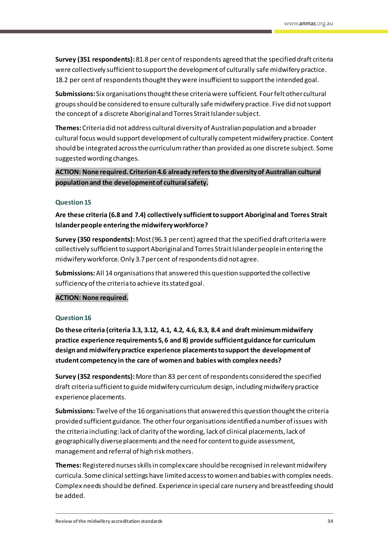**Survey (351 respondents):**81.8 per cent of respondents agreed that the specified draft criteria were collectively sufficient to support the development of culturally safe midwifery practice. 18.2 per cent of respondents thought they were insufficient to support the intended goal.

**Submissions:** Six organisations thought these criteria were sufficient. Fourfelt other cultural groups should be considered to ensure culturally safe midwifery practice. Five did not support the concept of a discrete Aboriginal and Torres Strait Islander subject.

**Themes:**Criteria did not address cultural diversity of Australian population and a broader cultural focus would support development of culturally competentmidwifery practice. Content should be integrated across the curriculum rather than provided as one discrete subject. Some suggested wording changes.

# ACTION: None required. Criterion 4.6 already refers to the diversity of Australian cultural **population and the development of cultural safety.**

### **Question 15**

**Are these criteria (6.8 and 7.4) collectively sufficient to support Aboriginal and Torres Strait Islander people entering the midwifery workforce?**

**Survey (350 respondents):**Most(96.3 per cent) agreed that the specified draft criteria were collectively sufficient to support Aboriginal and Torres Strait Islander people in entering the midwifery workforce. Only 3.7per cent of respondents did not agree.

**Submissions:**All 14 organisations that answered this question supported the collective sufficiency of the criteria to achieve its stated goal.

### **ACTION: None required.**

#### **Question 16**

**Do these criteria (criteria 3.3, 3.12, 4.1, 4.2, 4.6, 8.3, 8.4 and draft minimum midwifery practice experience requirements 5, 6 and 8) provide sufficient guidance for curriculum design and midwifery practice experience placements to support the development of student competency in the care of women and babies with complex needs?**

**Survey (352 respondents):** More than 83 per cent of respondents considered the specified draft criteria sufficient to guide midwifery curriculum design, including midwifery practice experience placements.

**Submissions:** Twelve of the 16 organisations that answered this question thought the criteria provided sufficient guidance. The other four organisations identified a number of issues with the criteria including:lack of clarity of the wording, lack of clinical placements, lack of geographically diverse placements and the need for content to guide assessment, management and referral of high risk mothers.

**Themes:**Registered nursesskillsin complex care should be recognised in relevant midwifery curricula. Some clinical settings have limited access to women and babies with complex needs. Complex needs should be defined. Experience in special care nursery and breastfeeding should be added.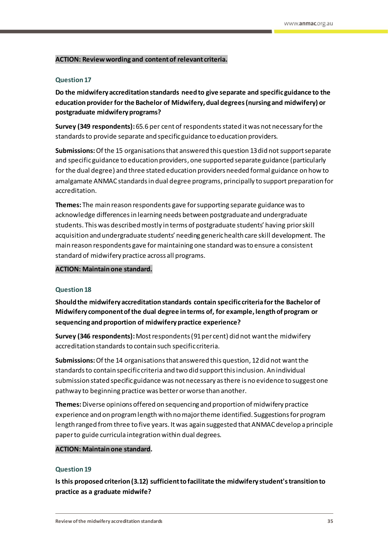#### **ACTION: Review wording and contentof relevant criteria.**

#### **Question 17**

**Do the midwifery accreditation standards need to give separate and specific guidance to the education provider for the Bachelor of Midwifery, dual degrees (nursing and midwifery) or postgraduate midwifery programs?**

**Survey (349 respondents):** 65.6 per cent of respondents stated it was not necessary for the standards to provide separate and specific guidance to education providers.

**Submissions:**Of the 15 organisations that answered this question 13 did not support separate and specific guidance to education providers, one supported separate guidance (particularly for the dual degree) and three stated education providers needed formal guidance on how to amalgamate ANMAC standards in dual degree programs, principally to support preparation for accreditation.

**Themes:** The main reason respondents gave for supporting separate guidance was to acknowledge differencesin learning needs between postgraduate and undergraduate students. This was described mostly in terms of postgraduate students' having prior skill acquisition and undergraduate students' needing generic health care skill development. The main reason respondents gave formaintaining one standard was to ensure a consistent standard of midwifery practice across all programs.

#### **ACTION: Maintain one standard.**

#### **Question 18**

**Should the midwifery accreditation standards contain specific criteria for the Bachelor of Midwifery component of the dual degree in terms of, for example, length of program or sequencing and proportion of midwifery practice experience?**

**Survey (346 respondents):** Most respondents (91per cent) did not want the midwifery accreditation standards to contain such specific criteria.

**Submissions:**Of the 14 organisations that answered this question, 12 did not want the standards to contain specific criteria and two did support this inclusion. An individual submission stated specific guidance was not necessary as there is no evidence to suggest one pathway to beginning practice was better or worse than another.

**Themes:**Diverse opinions offered on sequencing and proportion of midwifery practice experience and on program length with no major theme identified. Suggestions for program length ranged from three to five years. It was again suggested that ANMAC develop a principle paper to guide curricula integration within dual degrees.

#### **ACTION: Maintain one standard.**

#### **Question 19**

**Is this proposed criterion (3.12) sufficient to facilitate the midwifery student's transition to practice as a graduate midwife?**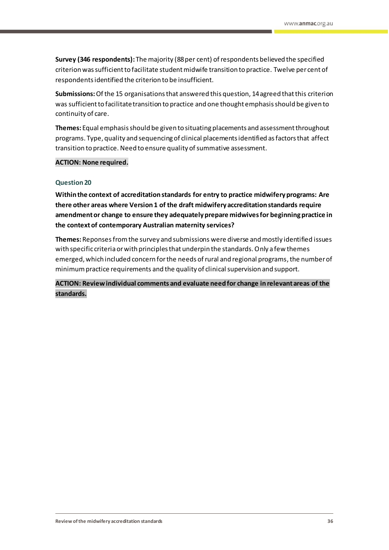**Survey (346 respondents):** The majority (88 per cent) of respondents believed the specified criterion was sufficient to facilitate student midwife transition to practice. Twelve per cent of respondents identified the criterion to be insufficient.

**Submissions:**Of the 15 organisations that answered this question, 14 agreed that this criterion was sufficient to facilitate transition to practice and one thought emphasis should be given to continuity of care.

**Themes:** Equal emphasis should be given to situating placements and assessment throughout programs. Type, quality and sequencing of clinical placements identified as factors that affect transition to practice. Need to ensure quality of summative assessment.

### **ACTION: None required.**

#### **Question 20**

**Within the context of accreditation standards for entry to practice midwifery programs: Are there other areas where Version 1 of the draft midwifery accreditation standards require amendment or change to ensure they adequately prepare midwives for beginning practice in the context of contemporary Australian maternity services?**

**Themes:** Reponsesfrom the survey and submissions were diverse and mostly identified issues with specific criteria or with principles that underpin the standards. Only a few themes emerged, which included concern for the needs of rural and regional programs, the number of minimum practice requirements and the quality of clinical supervision and support.

**ACTION: Review individual comments and evaluate need for change in relevant areas of the standards.**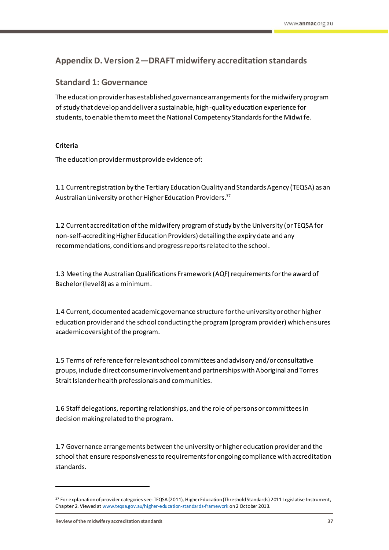# <span id="page-38-0"></span>**Appendix D. Version 2—DRAFT midwifery accreditation standards**

# <span id="page-38-1"></span>**Standard 1: Governance**

The education provider has established governance arrangements for the midwifery program of study that develop and deliver a sustainable, high-quality education experience for students, to enable them to meet the National Competency Standards for the Midwife.

# **Criteria**

The education provider must provide evidence of:

1.1 Current registration by the Tertiary Education Quality and Standards Agency (TEQSA) as an Australian University or other Higher Education Providers.<sup>37</sup>

1.2 Current accreditation of the midwifery program of study by the University (or TEQSA for non-self-accrediting Higher Education Providers) detailing the expiry date and any recommendations, conditions and progress reports related to the school.

1.3 Meeting the Australian Qualifications Framework (AQF) requirements for the award of Bachelor (level 8) as a minimum.

1.4 Current, documented academic governance structure for the university or other higher education provider and the school conducting the program (program provider) which ensures academic oversight of the program.

1.5 Terms of reference for relevant school committees and advisory and/or consultative groups, include direct consumer involvement and partnerships with Aboriginal and Torres Strait Islander health professionals and communities.

1.6 Staff delegations, reporting relationships, and the role of persons or committees in decision making related to the program.

1.7 Governance arrangements between the university or higher education provider and the school that ensure responsiveness to requirements for ongoing compliance with accreditation standards.

**Review of the midwifery accreditation standards 37**

<sup>37</sup> For explanation of provider categories see: TEQSA (2011), Higher Education (Threshold Standards) 2011 Legislative Instrument, Chapter 2. Viewed a[t www.teqsa.gov.au/higher-education-standards-framework](http://www.teqsa.gov.au/higher-education-standards-framework) on 2 October 2013.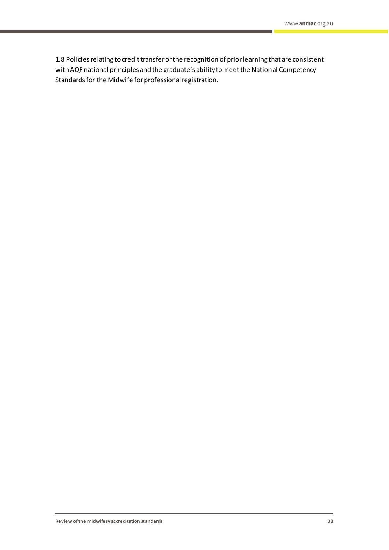1.8 Policies relating to credit transfer or the recognition of prior learning that are consistent with AQF national principles and the graduate's ability to meet the National Competency Standards for the Midwife for professional registration.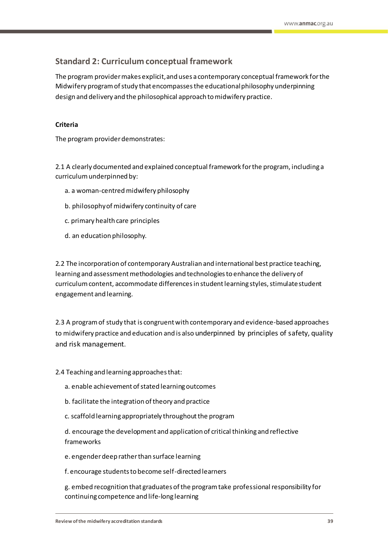# <span id="page-40-0"></span>**Standard 2: Curriculum conceptual framework**

The program provider makes explicit, and uses a contemporary conceptual framework for the Midwifery program of study that encompasses the educational philosophy underpinning design and delivery and the philosophical approach to midwifery practice.

### **Criteria**

The program provider demonstrates:

2.1 A clearly documented and explained conceptual framework for the program, including a curriculum underpinned by:

- a. a woman-centred midwifery philosophy
- b. philosophy of midwifery continuity of care
- c. primary health care principles
- d. an education philosophy.

2.2 The incorporation of contemporary Australian and international best practice teaching, learning and assessment methodologies and technologies to enhance the delivery of curriculum content, accommodate differences in student learning styles, stimulate student engagement and learning.

2.3 A program of study that is congruent with contemporary and evidence-based approaches to midwifery practice and education and is also underpinned by principles of safety, quality and risk management.

### 2.4 Teaching and learning approaches that:

- a. enable achievement of stated learning outcomes
- b. facilitate the integration of theory and practice
- c. scaffold learning appropriately throughout the program

d. encourage the development and application of critical thinking and reflective frameworks

- e. engender deep rather than surface learning
- f. encourage students to become self-directed learners

g. embed recognition that graduates of the program take professional responsibility for continuing competence and life-long learning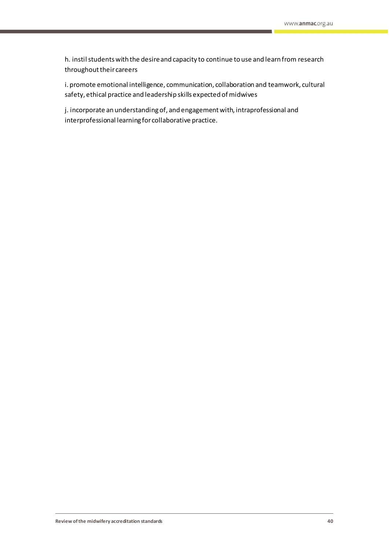h. instil students with the desire and capacity to continue to use and learn from research throughout their careers

i. promote emotional intelligence, communication, collaboration and teamwork, cultural safety, ethical practice and leadership skills expected of midwives

j. incorporate an understanding of, and engagement with, intraprofessional and interprofessional learning for collaborative practice.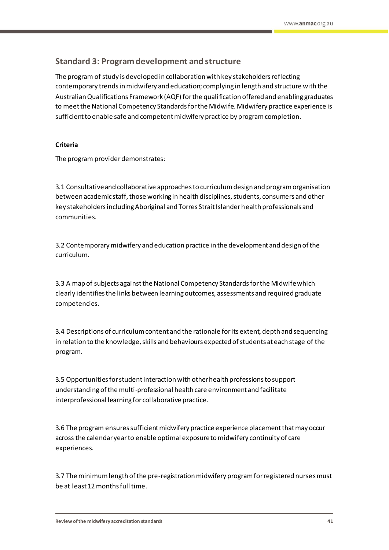# <span id="page-42-0"></span>**Standard 3: Program development and structure**

The program of study is developed in collaboration with key stakeholders reflecting contemporary trends in midwifery and education; complying in length and structure with the Australian Qualifications Framework (AQF) for the qualification offered and enabling graduates to meet the National Competency Standards for the Midwife. Midwifery practice experience is sufficient to enable safe and competent midwifery practice by program completion.

# **Criteria**

The program provider demonstrates:

3.1 Consultative and collaborative approaches to curriculum design and program organisation between academic staff, those working in health disciplines, students, consumers and other key stakeholders including Aboriginal and Torres Strait Islander health professionals and communities.

3.2 Contemporary midwifery and education practice in the development and design of the curriculum.

3.3 A map of subjects against the National Competency Standards for the Midwife which clearly identifies the links between learning outcomes, assessments and required graduate competencies.

3.4 Descriptions of curriculum content and the rationale for its extent, depth and sequencing in relation to the knowledge, skills and behaviours expected of students at each stage of the program.

3.5 Opportunities for student interaction with other health professions to support understanding of the multi-professional health care environment and facilitate interprofessional learning for collaborative practice.

3.6 The program ensures sufficient midwifery practice experience placement that may occur across the calendar year to enable optimal exposure to midwifery continuity of care experiences.

3.7 The minimum length of the pre-registration midwifery program for registered nurses must be at least 12 months full time.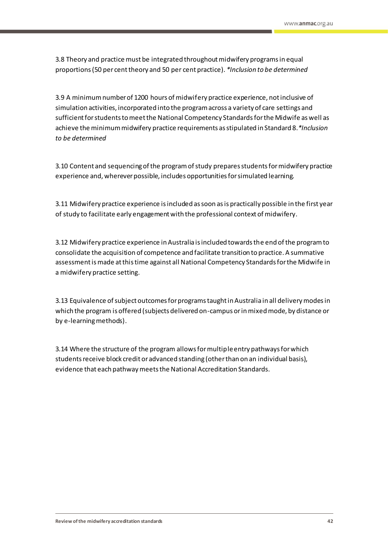3.8 Theory and practice must be integrated throughout midwifery programs in equal proportions (50 per centtheory and 50 per cent practice). *\*Inclusion to be determined*

3.9 A minimum number of 1200 hours of midwifery practice experience, not inclusive of simulation activities, incorporated into the program across a variety of care settings and sufficient for students to meet the National Competency Standards for the Midwife as well as achieve the minimum midwifery practice requirements as stipulated in Standard 8.*\*Inclusion to be determined*

3.10 Content and sequencing of the program of study prepares students for midwifery practice experience and, wherever possible, includes opportunities for simulated learning.

3.11 Midwifery practice experience is included as soon as is practically possible in the first year of study to facilitate early engagement with the professional context of midwifery.

3.12 Midwifery practice experience in Australia is included towards the end of the program to consolidate the acquisition of competence and facilitate transition to practice. A summative assessment is made at this time against all National Competency Standards for the Midwife in a midwifery practice setting.

3.13 Equivalence of subject outcomes for programs taught in Australia in all delivery modes in which the program is offered (subjects delivered on-campus or in mixed mode, by distance or by e-learning methods).

3.14 Where the structure of the program allows for multiple entry pathways for which students receive block credit or advanced standing (other than on an individual basis), evidence that each pathway meets the National Accreditation Standards.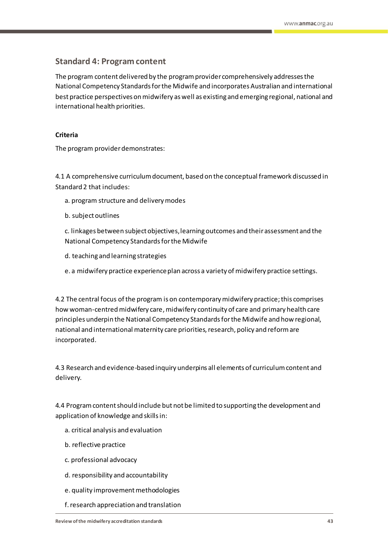# <span id="page-44-0"></span>**Standard 4: Program content**

The program content delivered by the program provider comprehensively addresses the National Competency Standards for the Midwife and incorporates Australian and international best practice perspectives on midwifery as well as existing and emerging regional, national and international health priorities.

### **Criteria**

The program provider demonstrates:

4.1 A comprehensive curriculum document, based on the conceptual framework discussed in Standard 2 that includes:

- a. program structure and delivery modes
- b. subject outlines

c. linkages between subject objectives, learning outcomes and their assessment and the National Competency Standards for the Midwife

- d. teaching and learning strategies
- e. a midwifery practice experience plan across a variety of midwifery practice settings.

4.2 The central focus of the program is on contemporary midwifery practice; this comprises how woman-centred midwifery care, midwifery continuity of care and primary health care principles underpin the National Competency Standards for the Midwife and how regional, national and international maternity care priorities, research, policy and reform are incorporated.

4.3 Research and evidence-based inquiry underpins all elements of curriculum content and delivery.

4.4 Program content should include but not be limited to supporting the development and application of knowledge and skills in:

- a. critical analysis and evaluation
- b. reflective practice
- c. professional advocacy
- d. responsibility and accountability
- e. quality improvement methodologies
- f. research appreciation and translation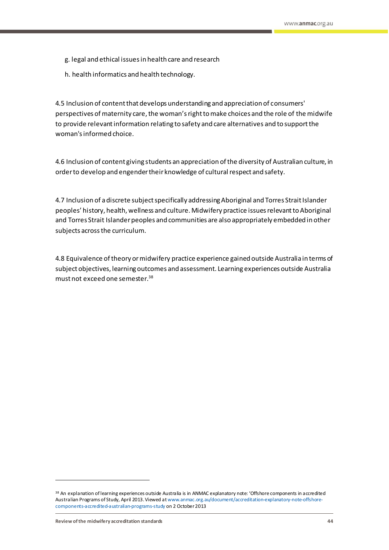- g. legal and ethical issues in health care and research
- h. health informatics and health technology.

4.5 Inclusion of content that develops understanding and appreciation of consumers' perspectives of maternity care, the woman's right to make choices and the role of the midwife to provide relevant information relating to safety and care alternatives and to support the woman's informed choice.

4.6 Inclusion of content giving students an appreciation of the diversity of Australian culture, in order to develop and engender their knowledge of cultural respect and safety.

4.7 Inclusion of a discrete subject specifically addressing Aboriginal and Torres Strait Islander peoples' history, health, wellness and culture. Midwifery practice issues relevant to Aboriginal and Torres Strait Islander peoples and communities are also appropriately embedded in other subjects across the curriculum.

4.8 Equivalence of theory or midwifery practice experience gained outside Australia in terms of subject objectives, learning outcomes and assessment. Learning experiences outside Australia must not exceed one semester.<sup>38</sup>

<sup>38</sup> An explanation of learning experiences outside Australia is in ANMAC explanatory note: 'Offshore components in accredited Australian Programs of Study, April 2013. Viewed a[t www.anmac.org.au/document/accreditation-explanatory-note-offshore](http://www.anmac.org.au/document/accreditation-explanatory-note-offshore-components-accredited-australian-programs-study)[components-accredited-australian-programs-study](http://www.anmac.org.au/document/accreditation-explanatory-note-offshore-components-accredited-australian-programs-study) on 2 October 2013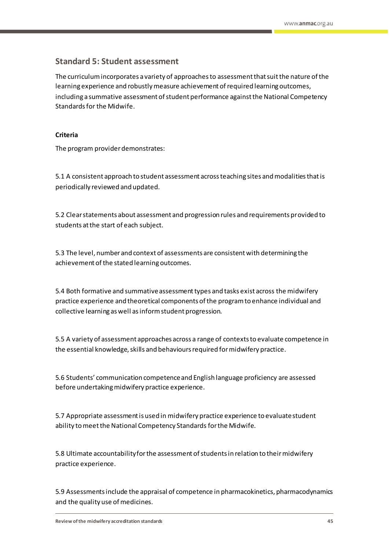# <span id="page-46-0"></span>**Standard 5: Student assessment**

The curriculum incorporates a variety of approaches to assessment that suit the nature of the learning experience and robustly measure achievement of required learning outcomes, including a summative assessment of student performance against the National Competency Standards for the Midwife.

### **Criteria**

The program provider demonstrates:

5.1 A consistent approach to student assessment across teaching sites and modalities that is periodically reviewed and updated.

5.2 Clear statements about assessment and progression rules and requirements provided to students at the start of each subject.

5.3 The level, number and context of assessments are consistent with determining the achievement of the stated learning outcomes.

5.4 Both formative and summative assessment types and tasks exist across the midwifery practice experience and theoretical components of the program to enhance individual and collective learning as well as inform student progression.

5.5 A variety of assessment approaches across a range of contexts to evaluate competence in the essential knowledge, skills and behaviours required for midwifery practice.

5.6 Students' communication competence and English language proficiency are assessed before undertaking midwifery practice experience.

5.7 Appropriate assessment is used in midwifery practice experience to evaluate student ability to meet the National Competency Standards for the Midwife.

5.8 Ultimate accountability for the assessment of students in relation to their midwifery practice experience.

5.9 Assessments include the appraisal of competence in pharmacokinetics, pharmacodynamics and the quality use of medicines.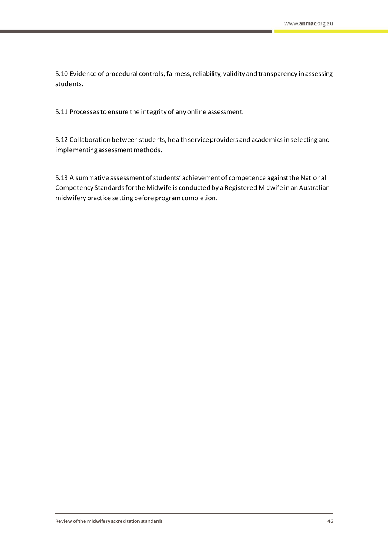5.10 Evidence of procedural controls, fairness, reliability, validity and transparency in assessing students.

5.11 Processes to ensure the integrity of any online assessment.

5.12 Collaboration between students, health service providers and academics in selecting and implementing assessment methods.

5.13 A summative assessment of students' achievement of competence against the National Competency Standards for the Midwife is conducted by a Registered Midwife in an Australian midwifery practice setting before program completion.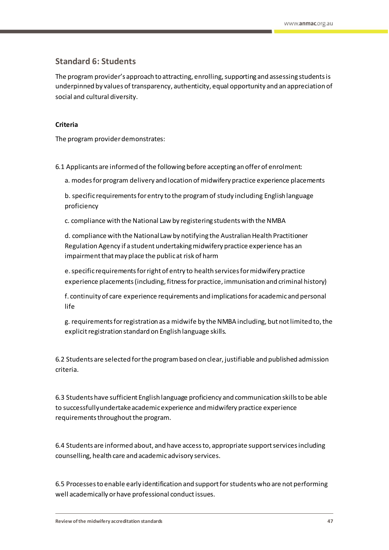# <span id="page-48-0"></span>**Standard 6: Students**

The program provider's approach to attracting, enrolling, supporting and assessing students is underpinned by values of transparency, authenticity, equal opportunity and an appreciation of social and cultural diversity.

### **Criteria**

The program provider demonstrates:

6.1 Applicants are informed of the following before accepting an offer of enrolment:

a. modes for program delivery and location of midwifery practice experience placements

b. specific requirements for entry to the program of study including English language proficiency

c. compliance with the National Law by registering students with the NMBA

d. compliance with the National Law by notifying the Australian Health Practitioner Regulation Agency if a student undertaking midwifery practice experience has an impairment that may place the public at risk of harm

e. specific requirements for right of entry to health services for midwifery practice experience placements (including, fitness for practice, immunisation and criminal history)

f. continuity of care experience requirements and implications for academic and personal life

g. requirements for registration as a midwife by the NMBA including, but not limited to, the explicit registration standard on English language skills.

6.2 Students are selected for the program based on clear, justifiable and published admission criteria.

6.3 Students have sufficient English language proficiency and communication skills to be able to successfully undertake academic experience and midwifery practice experience requirements throughout the program.

6.4 Students are informed about, and have access to, appropriate support services including counselling, health care and academic advisory services.

6.5 Processes to enable early identification and support forstudents who are not performing well academically or have professional conduct issues.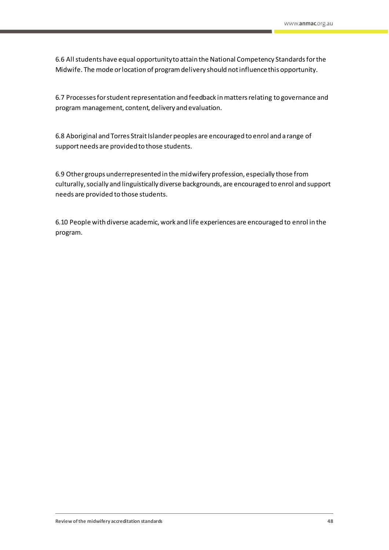6.6 All students have equal opportunity to attain the National Competency Standards for the Midwife. The mode or location of program delivery should not influence this opportunity.

6.7 Processes for student representation and feedback in matters relating to governance and program management, content, delivery and evaluation.

6.8 Aboriginal and Torres Strait Islander peoples are encouraged to enrol and a range of support needs are provided to those students.

6.9 Other groups underrepresented in the midwifery profession, especially those from culturally, socially and linguistically diverse backgrounds, are encouraged to enrol and support needs are provided to those students.

6.10 People with diverse academic, work and life experiences are encouraged to enrol in the program.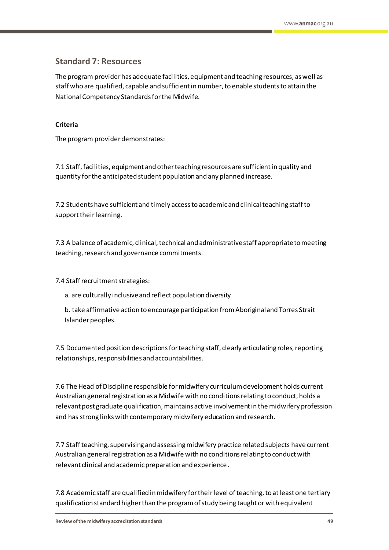# <span id="page-50-0"></span>**Standard 7: Resources**

The program provider has adequate facilities, equipment and teaching resources, as well as staff who are qualified, capable and sufficient in number, to enable students to attain the National Competency Standards for the Midwife.

### **Criteria**

The program provider demonstrates:

7.1 Staff, facilities, equipment and other teaching resources are sufficient in quality and quantity for the anticipated student population and any planned increase.

7.2 Students have sufficient and timely access to academic and clinical teaching staff to support their learning.

7.3 A balance of academic, clinical, technical and administrative staff appropriate to meeting teaching, research and governance commitments.

7.4 Staff recruitment strategies:

- a. are culturally inclusive and reflect population diversity
- b. take affirmative action to encourage participation from Aboriginal and Torres Strait Islander peoples.

7.5 Documented position descriptions for teaching staff, clearly articulating roles, reporting relationships, responsibilities and accountabilities.

7.6 The Head of Discipline responsible for midwifery curriculum development holds current Australian general registration as a Midwife with no conditions relating to conduct, holds a relevant post graduate qualification, maintains active involvement in the midwifery profession and has strong links with contemporary midwifery education and research.

7.7 Staff teaching, supervising and assessing midwifery practice related subjects have current Australian general registration as a Midwife with no conditions relating to conduct with relevant clinical and academic preparation and experience.

7.8 Academic staff are qualified in midwifery for their level of teaching, to at least one tertiary qualification standard higher than the program of study being taught or with equivalent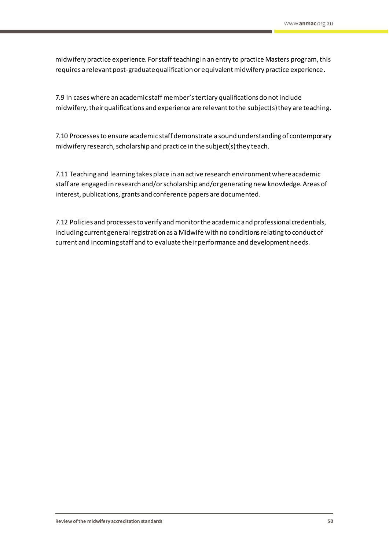midwifery practice experience. For staff teaching in an entry to practice Masters program, this requires a relevant post-graduate qualification or equivalent midwifery practice experience.

7.9 In cases where an academic staff member's tertiary qualifications do not include midwifery, their qualifications and experience are relevant to the subject(s) they are teaching.

7.10 Processes to ensure academic staff demonstrate a sound understanding of contemporary midwifery research, scholarship and practice in the subject(s) they teach.

7.11 Teaching and learning takes place in an active research environment where academic staff are engaged in research and/or scholarship and/or generating new knowledge. Areas of interest, publications, grants and conference papers are documented.

7.12 Policies and processes to verify and monitor the academic and professional credentials, including current general registration as a Midwife with no conditions relating to conduct of current and incoming staff and to evaluate their performance and development needs.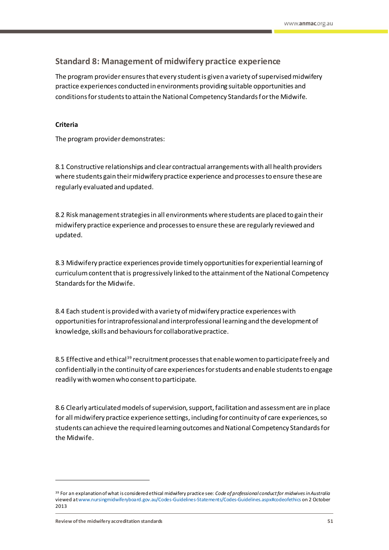# <span id="page-52-0"></span>**Standard 8: Management of midwifery practice experience**

The program provider ensures that every student is given a variety of supervised midwifery practice experiences conducted in environments providing suitable opportunities and conditions for students to attain the National Competency Standards for the Midwife.

### **Criteria**

The program provider demonstrates:

8.1 Constructive relationships and clear contractual arrangements with all health providers where students gain their midwifery practice experience and processes to ensure these are regularly evaluated and updated.

8.2 Risk management strategies in all environments where students are placed to gain their midwifery practice experience and processes to ensure these are regularly reviewed and updated.

8.3 Midwifery practice experiences provide timely opportunities for experiential learning of curriculum content that is progressively linked to the attainment of the National Competency Standards for the Midwife.

8.4 Each student is provided with a variety of midwifery practice experiences with opportunities for intraprofessional and interprofessional learning and the development of knowledge, skills and behaviours for collaborative practice.

8.5 Effective and ethical<sup>39</sup> recruitment processes that enable women to participate freely and confidentially in the continuity of care experiences for students and enable students to engage readily with women who consent to participate.

8.6 Clearly articulated models of supervision, support, facilitation and assessment are in place for all midwifery practice experience settings, including for continuity of care experiences, so students can achieve the required learning outcomes and National Competency Standards for the Midwife.

<sup>39</sup> For an explanation of what is considered ethical midwifery practice see: *Code of professional conduct for midwives in Australia* viewed a[t www.nursingmidwiferyboard.gov.au/Codes-Guidelines-Statements/Codes-Guidelines.aspx#codeofethics](http://www.nursingmidwiferyboard.gov.au/Codes-Guidelines-Statements/Codes-Guidelines.aspx#codeofethics) on 2 October 2013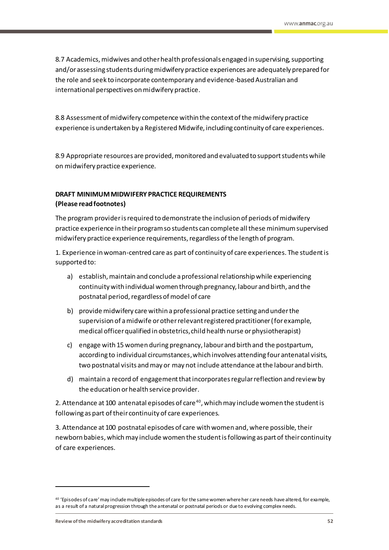8.7 Academics, midwives and other health professionals engaged in supervising, supporting and/or assessing students during midwifery practice experiences are adequately prepared for the role and seek to incorporate contemporary and evidence-based Australian and international perspectives on midwifery practice.

8.8 Assessment of midwifery competence within the context of the midwifery practice experience is undertaken by a Registered Midwife, including continuity of care experiences.

8.9 Appropriate resources are provided, monitored and evaluated to support students while on midwifery practice experience.

# **DRAFT MINIMUM MIDWIFERY PRACTICE REQUIREMENTS (Please read footnotes)**

The program provider is required to demonstrate the inclusion of periods of midwifery practice experience in their program so students can complete all these minimum supervised midwifery practice experience requirements, regardless of the length of program.

1. Experience in woman-centred care as part of continuity of care experiences. The student is supported to:

- a) establish, maintain and conclude a professional relationship while experiencing continuity with individual women through pregnancy, labour and birth, and the postnatal period, regardless of model of care
- b) provide midwifery care within a professional practice setting and under the supervision of a midwife or other relevant registered practitioner (for example, medical officer qualified in obstetrics, child health nurse or physiotherapist)
- c) engage with 15 women during pregnancy, labour and birth and the postpartum, according to individual circumstances,which involves attending four antenatal visits, two postnatal visits and may or may not include attendance at the labour and birth.
- d) maintain a record of engagement that incorporates regular reflection and review by the education or health service provider.

2. Attendance at 100 antenatal episodes of care <sup>40</sup>, which may include women the student is following as part of their continuity of care experiences.

3. Attendance at 100 postnatal episodes of care with women and, where possible, their newborn babies, which may include women the student is following as part of their continuity of care experiences.

<sup>40</sup> 'Episodes of care' may include multiple episodes of care for the same women where her care needs have altered, for example, as a result of a natural progression through the antenatal or postnatal periods or due to evolving complex needs.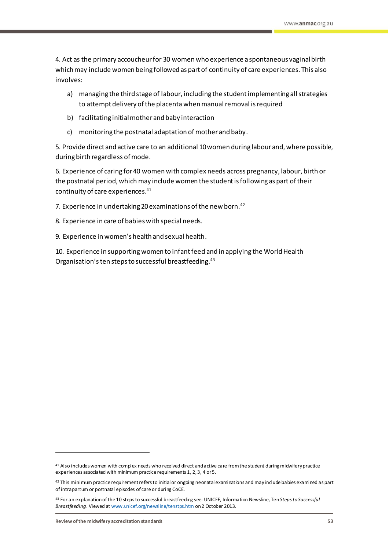4. Act as the primary accoucheur for 30 women who experience a spontaneous vaginal birth which may include women being followed as part of continuity of care experiences. This also involves:

- a) managing the third stage of labour, including the student implementing all strategies to attempt delivery of the placenta when manual removal is required
- b) facilitating initial mother and baby interaction
- c) monitoring the postnatal adaptation of mother and baby.

5. Provide direct and active care to an additional 10 women during labour and, where possible, during birth regardless of mode.

6. Experience of caring for 40 women with complex needs across pregnancy, labour, birth or the postnatal period, which may include women the student is following as part of their continuity of care experiences.<sup>41</sup>

7. Experience in undertaking 20 examinations of the new born. 42

- 8. Experience in care of babies with special needs.
- 9. Experience in women's health and sexual health.

10. Experience in supporting women to infant feed and in applying the World Health Organisation's ten steps to successful breastfeeding. 43

<sup>41</sup> Also includes women with complex needs who received direct and active care from the student during midwifery practice experiences associated with minimum practice requirements 1, 2, 3, 4 or 5.

<sup>42</sup> This minimum practice requirement refers to initial or ongoing neonatal examinations and may include babies examined as part of intrapartum or postnatal episodes of care or during CoCE.

<sup>43</sup> For an explanation of the 10 steps to successful breastfeeding see: UNICEF, Information Newsline, Ten *Steps to Successful Breastfeeding*. Viewed at [www.unicef.org/newsline/tenstps.htm](http://www.unicef.org/newsline/tenstps.htm) on 2 October 2013.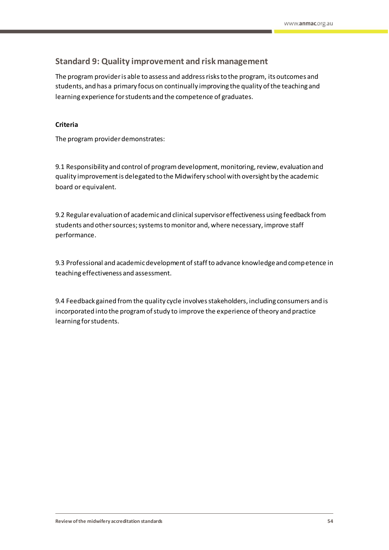# <span id="page-55-0"></span>**Standard 9: Quality improvement and risk management**

The program provider is able to assess and address risks to the program, its outcomes and students, and has a primary focus on continually improving the quality of the teaching and learning experience for students and the competence of graduates.

### **Criteria**

The program provider demonstrates:

9.1 Responsibility and control of program development, monitoring, review, evaluation and quality improvement is delegated to the Midwifery school with oversight by the academic board or equivalent.

9.2 Regular evaluation of academic and clinical supervisor effectiveness using feedback from students and other sources; systems to monitor and, where necessary, improve staff performance.

9.3 Professional and academic development of staff to advance knowledge and competence in teaching effectiveness and assessment.

9.4 Feedback gained from the quality cycle involvesstakeholders, including consumers and is incorporated into the program of study to improve the experience of theory and practice learning for students.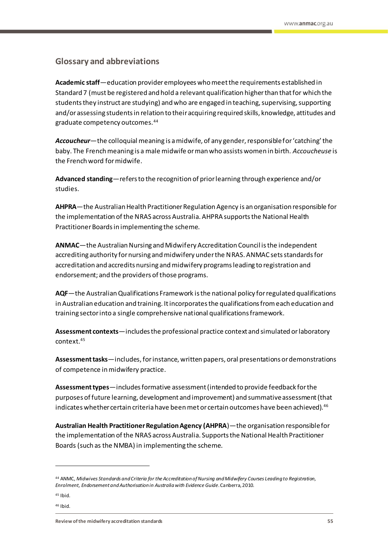### <span id="page-56-0"></span>**Glossary and abbreviations**

**Academic staff**—education provider employees who meet the requirements established in Standard 7 (must be registered and hold a relevant qualification higher than that for which the students they instruct are studying) and who are engaged in teaching, supervising, supporting and/or assessing students in relation to their acquiring required skills, knowledge, attitudes and graduate competency outcomes.<sup>44</sup>

*Accoucheur*—the colloquial meaning is a midwife, of any gender, responsible for 'catching' the baby. The French meaning is a male midwife or man who assists women in birth. *Accoucheuse* is the French word for midwife.

**Advanced standing**—refers to the recognition of prior learning through experience and/or studies.

– **AHPRA**—the Australian Health Practitioner Regulation Agency is an organisation responsible for the implementation of the NRAS across Australia. AHPRA supports the National Health Practitioner Boards in implementing the scheme.

– **ANMAC**—the Australian Nursing and Midwifery Accreditation Council is the independent accrediting authority for nursing and midwifery under the NRAS. ANMAC sets standards for accreditation and accredits nursing and midwifery programs leading to registration and endorsement; and the providers of those programs.

– **AQF**—the Australian Qualifications Framework is the national policy for regulated qualifications in Australian education and training. It incorporates the qualifications from each education and training sector into a single comprehensive national qualifications framework.

– **Assessment contexts**—includes the professional practice context and simulated or laboratory context. 45

– **Assessment tasks**—includes, for instance, written papers, oral presentations or demonstrations of competence in midwifery practice.

– **Assessment types**—includes formative assessment (intended to provide feedback for the purposes of future learning, development and improvement) and summative assessment (that indicates whether certain criteria have been met or certain outcomes have been achieved).<sup>46</sup>

– **Australian Health Practitioner Regulation Agency (AHPRA**)—the organisation responsible for the implementation of the NRAS across Australia. Supports the National Health Practitioner Boards (such as the NMBA) in implementing the scheme.

 $45$  Ibid.

 $\overline{a}$ 

<sup>46</sup> Ibid.

<sup>44</sup> ANMC, *Midwives Standards and Criteria for the Accreditation of Nursing and Midwifery Courses Leading to Registration, Enrolment, Endorsement and Authorisation in Australia with Evidence Guide*. Canberra, 2010.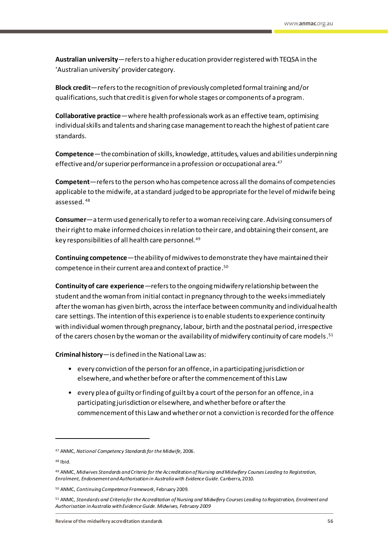– **Australian university**—refers to a higher education provider registered with TEQSA in the 'Australian university' provider category.

– **Block credit**—refers to the recognition of previously completed formal training and/or qualifications,such that credit is given for whole stages or components of a program.

– **Collaborative practice**—where health professionals work as an effective team, optimising individual skills and talents and sharing case management to reach the highest of patient care standards.

– **Competence**—the combination of skills, knowledge, attitudes, values and abilities underpinning effective and/or superior performance in a profession or occupational area.<sup>47</sup>

– **Competent**—refers to the person who has competence across all the domains of competencies applicable to the midwife, at a standard judged to be appropriate for the level of midwife being assessed. <sup>48</sup>

– **Consumer**—a term used generically to refer to a woman receiving care. Advising consumers of their right to make informed choices in relation to their care, and obtaining their consent, are key responsibilities of all health care personnel.<sup>49</sup>

– **Continuing competence**—the ability of midwives to demonstrate they have maintained their competence in their current area and context of practice. 50

– **Continuity of care experience**—refers to the ongoing midwifery relationship between the student and the woman from initial contact in pregnancy through to the weeks immediately after the woman has given birth, across the interface between community and individual health care settings. The intention of this experience is to enable students to experience continuity with individual women through pregnancy, labour, birth and the postnatal period, irrespective of the carers chosen by the woman or the availability of midwifery continuity of care models.  $^{\rm 51}$ 

– **Criminal history**—is defined in the National Law as:

- every conviction of the person for an offence, in a participating jurisdiction or elsewhere, and whether before or after the commencement of this Law
- every plea of guilty or finding of guilt by a court of the person for an offence, in a participating jurisdiction or elsewhere, and whether before or after the commencement of this Law and whether or not a conviction is recorded for the offence

<sup>47</sup> ANMC, *National Competency Standardsfor the Midwife*, 2006.

<sup>48</sup> Ibid.

<sup>49</sup> ANMC, *Midwives Standards and Criteria for the Accreditation of Nursing and Midwifery Courses Leading to Registration, Enrolment, Endorsement and Authorisation in Australia with Evidence Guide*. Canberra, 2010.

<sup>50</sup> ANMC, *Continuing Competence Framework*, February 2009.

<sup>51</sup> ANMC, *Standards and Criteria for the Accreditation of Nursing and Midwifery Courses Leading to Registration, Enrolment and Authorisation in Australia with Evidence Guide. Midwives, February 2009*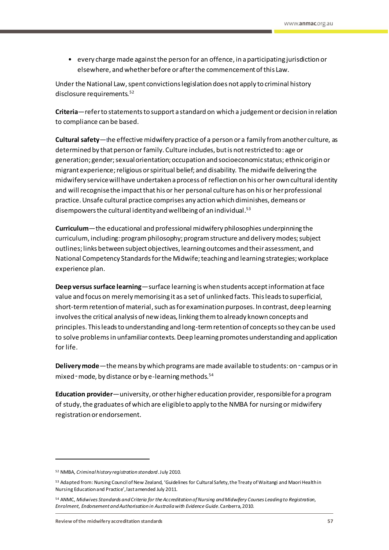• every charge made against the person for an offence, in a participating jurisdiction or elsewhere, and whether before or after the commencement of this Law.

Under the National Law, spent convictions legislation does not apply to criminal history disclosure requirements.<sup>52</sup>

– **Criteria**—refer to statements to support a standard on which a judgement or decision in relation to compliance can be based.

**Cultural safety**—the effective midwifery practice of a person or a family from another culture, as determined by that person or family. Culture includes, but is not restricted to: age or generation; gender; sexual orientation; occupation and socioeconomic status; ethnic origin or migrant experience; religious or spiritual belief; and disability. The midwife delivering the midwifery service will have undertaken a process of reflection on his or her own cultural identity and will recognise the impact that his or her personal culture has on his or her professional practice. Unsafe cultural practice comprises any action which diminishes, demeans or disempowers the cultural identity and wellbeing of an individual.<sup>53</sup>

**Curriculum**—the educational and professional midwifery philosophies underpinning the curriculum, including: programphilosophy; program structure and delivery modes; subject outlines; links between subject objectives, learning outcomes and their assessment, and National Competency Standards for the Midwife; teaching and learning strategies; workplace experience plan.

– **Deep versus surface learning**—surface learning is when students accept information at face value and focus on merely memorising it as a set of unlinked facts. This leads to superficial, short-term retention of material, such asfor examination purposes. In contrast, deep learning involves the critical analysis of new ideas, linking them to already known concepts and principles. This leads to understanding and long-term retention of concepts so they can be used to solve problems in unfamiliar contexts. Deep learning promotes understanding and application for life.

– **Delivery mode**—the means by which programs are made available to students: on‑campus or in mixed - mode, by distance or by e-learning methods.<sup>54</sup>

– **Education provider**—university, or other higher education provider, responsible for a program of study, the graduates of which are eligible to apply to the NMBA for nursing or midwifery registration or endorsement.

<sup>52</sup> NMBA, *Criminal history registration standard*. July 2010.

<sup>53</sup> Adapted from: Nursing Council of New Zealand, 'Guidelines for Cultural Safety, the Treaty of Waitangi and Maori Health in Nursing Education and Practice', last amended July 2011.

<sup>54</sup> ANMC, *Midwives Standards and Criteria for the Accreditation of Nursing and Midwifery Courses Leading to Registration, Enrolment, Endorsement and Authorisation in Australia with Evidence Guide*. Canberra, 2010.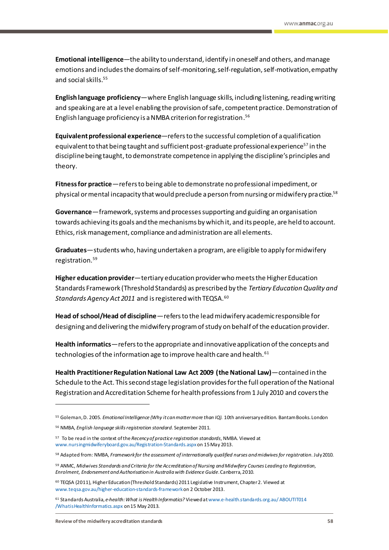– **Emotional intelligence**—the ability to understand, identify in oneself and others, and manage emotions and includes the domains of self-monitoring, self-regulation, self-motivation, empathy and social skills.<sup>55</sup>

– **English language proficiency**—where English language skills, including listening, reading writing and speaking are at a level enabling the provision of safe, competent practice. Demonstration of English language proficiency is a NMBA criterion for registration. 56

– **Equivalent professional experience**—refers to the successful completion of a qualification equivalent to that being taught and sufficient post-graduate professional experience<sup>57</sup> in the discipline being taught, to demonstrate competence in applying the discipline's principles and theory.

– **Fitness for practice**—refers to being able to demonstrate no professional impediment, or physical or mental incapacity that would preclude a person from nursing or midwifery practice.<sup>58</sup>

– **Governance**—framework, systems and processes supporting and guiding an organisation towards achieving its goals and the mechanisms by which it, and its people, are held to account. Ethics, risk management, compliance and administration are all elements.

– **Graduates**—students who, having undertaken a program, are eligible to apply for midwifery registration.<sup>59</sup>

– **Higher education provider**—tertiary education provider who meets the Higher Education Standards Framework (Threshold Standards) as prescribed by the *Tertiary Education Quality and Standards Agency Act 2011* and is registered with TEQSA.<sup>60</sup>

– **Head of school/Head of discipline**—refers to the lead midwifery academic responsible for designing and delivering the midwifery program of study on behalf of the education provider.

– **Health informatics**—refers to the appropriate and innovative application of the concepts and technologies of the information age to improve health care and health.<sup>61</sup>

– **Health Practitioner Regulation National Law Act 2009 (the National Law)**—contained in the Schedule to the Act. This second stage legislation provides for the full operation of the National Registration and Accreditation Scheme for health professions from 1 July 2010 and covers the

<sup>55</sup> Goleman, D. 2005. *Emotional Intelligence (Why it can matter more than IQ).* 10th anniversary edition. Bantam Books. London

<sup>56</sup> NMBA, *English language skills registration standard*. September 2011.

<sup>57</sup> To be read in the context of the *Recency of practice registration standards*, NMBA. Viewed at [www.nursingmidwiferyboard.gov.au/Registration-Standards.aspx](http://www.nursingmidwiferyboard.gov.au/Registration-Standards.aspx)on 15 May 2013.

<sup>58</sup> Adapted from: NMBA, *Framework for the assessment of internationally qualified nurses and midwives for registration*. July 2010.

<sup>59</sup> ANMC, *Midwives Standards and Criteria for the Accreditation of Nursing and Midwifery Courses Leading to Registration, Enrolment, Endorsement and Authorisation in Australia with Evidence Guide*. Canberra, 2010.

<sup>60</sup> TEQSA (2011), Higher Education (Threshold Standards) 2011 Legislative Instrument, Chapter 2. Viewed at [www.teqsa.gov.au/higher-education-standards-framework](http://www.teqsa.gov.au/higher-education-standards-framework)on 2 October 2013.

<sup>61</sup> Standards Australia, *e-health: What is Health Informatics?* Viewed [at www.e-health.standards.org.au/ ABOUTIT014](http://www.e-health.standards.org.au/%20ABOUTIT014%20/WhatisHealthInformatics.aspx)  [/WhatisHealthInformatics.aspx](http://www.e-health.standards.org.au/%20ABOUTIT014%20/WhatisHealthInformatics.aspx) on 15 May 2013.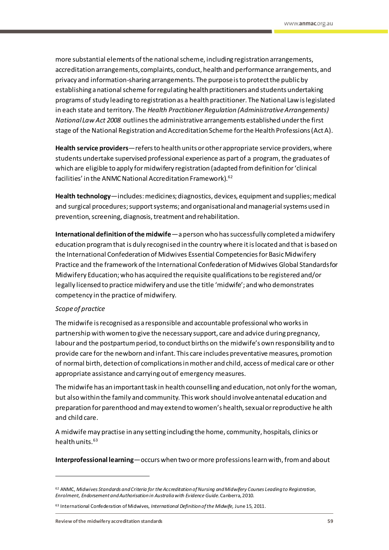more substantial elements of the national scheme, including registration arrangements, accreditation arrangements, complaints, conduct, health and performance arrangements, and privacy and information-sharing arrangements. The purpose is to protect the public by establishing a national scheme for regulating health practitioners and students undertaking programs of study leading to registration as a health practitioner. The National Law is legislated in each state and territory. The *Health Practitioner Regulation (Administrative Arrangements) National Law Act 2008* outlines the administrative arrangements established under the first stage of the National Registration and Accreditation Scheme for the Health Professions (Act A).

– **Health service providers**—refers to health units or other appropriate service providers, where students undertake supervised professional experience as part of a program, the graduates of which are eligible to apply for midwifery registration (adapted from definition for 'clinical facilities' in the ANMC National Accreditation Framework).<sup>62</sup>

– **Health technology**—includes:medicines; diagnostics, devices, equipment and supplies; medical and surgical procedures; support systems; and organisational and managerial systems used in prevention, screening, diagnosis, treatment and rehabilitation.

**International definition of the midwife**—a person who has successfully completed a midwifery education program that is duly recognised in the country where it is located and that is based on the International Confederation of Midwives Essential Competencies for Basic Midwifery Practice and the framework of the International Confederation of Midwives Global Standards for Midwifery Education; who has acquired the requisite qualifications to be registered and/or legally licensed to practice midwifery and use the title 'midwife'; and who demonstrates competency in the practice of midwifery.

#### *Scope of practice*

 $\overline{a}$ 

The midwife is recognised as a responsible and accountable professional who works in partnership with women to give the necessary support, care and advice during pregnancy, labour and the postpartum period, to conduct births on the midwife's own responsibility and to provide care for the newborn and infant. This care includes preventative measures, promotion of normal birth, detection of complications in mother and child, access of medical care or other appropriate assistance and carrying out of emergency measures.

The midwife has an important task in health counselling and education, not only for the woman, but also within the family and community. This work should involve antenatal education and preparation for parenthood and may extend to women's health, sexual or reproductive he alth and child care.

A midwife may practise in any setting including the home, community, hospitals, clinics or health units. $63$ 

– **Interprofessional learning**—occurs when two or more professions learn with, from and about

<sup>62</sup> ANMC, *Midwives Standards and Criteria for the Accreditation of Nursing and Midwifery Courses Leading to Registration, Enrolment, Endorsement and Authorisation in Australia with Evidence Guide*. Canberra, 2010.

<sup>63</sup> International Confederation of Midwives, *International Definition of the Midwife,* June 15, 2011.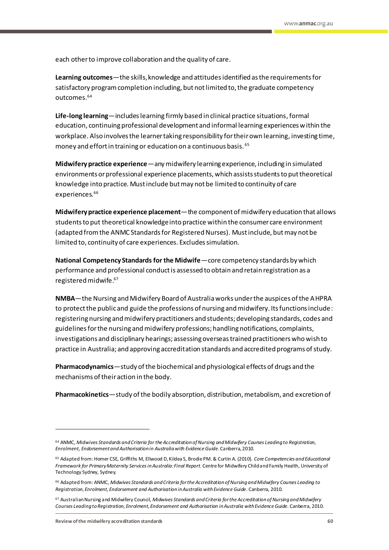each other to improve collaboration and the quality of care.

– **Learning outcomes**—the skills, knowledge and attitudes identified as the requirements for satisfactory programcompletion including, but not limited to, the graduate competency outcomes.<sup>64</sup>

– **Life-long learning**—includes learning firmly based in clinical practice situations,formal education, continuing professional development and informal learning experiences within the workplace. Also involves the learner taking responsibility for their own learning, investing time, money and effort in training or education on a continuous basis. <sup>65</sup>

– **Midwifery practice experience**—any midwifery learning experience, including in simulated environments or professional experience placements, which assists students to put theoretical knowledge into practice. Must include but may not be limited to continuity of care experiences.<sup>66</sup>

– **Midwifery practice experience placement**—the component of midwifery education that allows students to put theoretical knowledge into practice within the consumer care environment (adapted from the ANMC Standards for Registered Nurses). Must include, but may not be limited to, continuity of care experiences. Excludes simulation.

**National Competency Standards for the Midwife**—core competency standards by which performance and professional conduct is assessed to obtain and retain registration as a registered midwife. 67

– **NMBA**—the Nursing and Midwifery Board of Australia works under the auspices of the AHPRA to protect the public and guide the professions of nursing and midwifery. Its functions include: registering nursing and midwifery practitioners and students; developing standards, codes and guidelines for the nursing and midwifery professions; handling notifications, complaints, investigations and disciplinary hearings; assessing overseas trained practitioners who wish to practice in Australia; and approving accreditation standards and accredited programs of study.

– **Pharmacodynamics**—study of the biochemical and physiological effects of drugs and the mechanisms of their action in the body.

– **Pharmacokinetics**—study of the bodily absorption, distribution, metabolism, and excretion of

<sup>64</sup> ANMC, *Midwives Standards and Criteria for the Accreditation of Nursing and Midwifery Courses Leading to Registration, Enrolment, Endorsement and Authorisation in Australia with Evidence Guide*. Canberra, 2010.

<sup>65</sup> Adapted from: Homer CSE, Griffiths M, Ellwood D, Kildea S, Brodie PM. & Curtin A. (2010). *Core Competencies and Educational Framework for Primary Maternity Services in Australia: Final Report*. Centre for Midwifery Child and Family Health, University of Technology Sydney, Sydney.

<sup>66</sup> Adapted from: ANMC, *Midwives Standards and Criteria for the Accreditation of Nursing and Midwifery Courses Leading to Registration, Enrolment, Endorsement and Authorisation in Australia with Evidence Guide*. Canberra, 2010.

<sup>67</sup> Australian Nursing and Midwifery Council, *Midwives Standards and Criteria for the Accreditation of Nursing and Midwifery Courses Leading to Registration, Enrolment, Endorsement and Authorisation in Australia with Evidence Guide*. Canberra, 2010.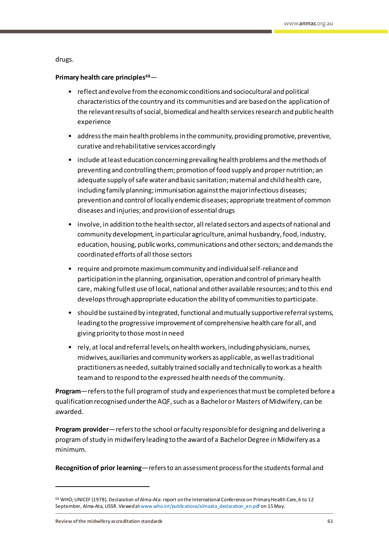drugs.

#### – **Primary health care principles<sup>68</sup>**—

- reflect and evolve from the economic conditions and sociocultural and political characteristics of the country and its communities and are based on the application of the relevant results of social, biomedical and health services research and public health experience
- address the main health problems in the community, providing promotive, preventive, curative and rehabilitative services accordingly
- include at least education concerning prevailing health problems and the methods of preventing and controlling them; promotion of food supply and proper nutrition; an adequate supply of safe water and basic sanitation; maternal and child health care, including family planning; immunisation against the major infectious diseases; prevention and control of locally endemic diseases; appropriate treatment of common diseases and injuries; and provision of essential drugs
- involve, in addition to the health sector, all related sectors and aspects of national and community development, in particular agriculture, animal husbandry, food, industry, education, housing, public works, communications and other sectors; and demands the coordinated efforts of all those sectors
- require and promote maximum community and individual self-reliance and participation in the planning, organisation, operation and control of primary health care, making fullest use of local, national and other available resources; and to this end develops through appropriate education the ability of communities to participate.
- should be sustained by integrated, functional and mutually supportive referral systems, leading to the progressive improvement of comprehensive health care for all, and giving priority to those most in need
- rely, at local and referral levels, on health workers, including physicians, nurses, midwives, auxiliaries and community workers as applicable, as well as traditional practitioners as needed, suitably trained socially and technically to work as a health team and to respond to the expressed health needs of the community.

– **Program**—refers to the full program of study and experiences that must be completed before a qualification recognised under the AQF, such as a Bachelor or Masters of Midwifery, can be awarded.

– **Program provider**—refers to the school or faculty responsible for designing and delivering a program of study in midwifery leading to the award of a Bachelor Degree in Midwifery as a minimum.

– **Recognition of prior learning**—refers to an assessment process for the students formal and

**Review of the midwifery accreditation standards 61**

<sup>68</sup> WHO; UNICEF (1978). Declaration of Alma-Ata: report on the International Conference on Primary Health Care, 6 to 12 September, Alma-Ata, USSR. Viewed a[t www.who.int/publications/almaata\\_declaration\\_en.pdf](http://www.who.int/publications/almaata_declaration_en.pdf) on 15 May.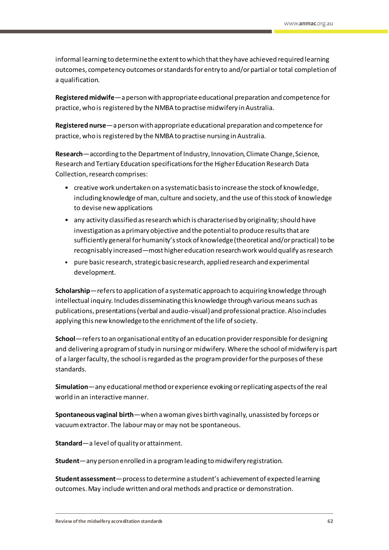informal learning to determine the extent to which that they have achieved required learning outcomes, competency outcomes or standards for entry to and/or partial or total completion of a qualification.

– **Registered midwife**—a person with appropriate educational preparation and competence for practice, who is registered by the NMBA to practise midwifery in Australia.

– **Registered nurse**—a person with appropriate educational preparation and competence for practice, who is registered by the NMBA to practise nursing in Australia.

**Research**—according to the Department of Industry, Innovation, Climate Change, Science, Research and Tertiary Education specifications for the Higher Education Research Data Collection, research comprises:

- creative work undertaken on a systematic basis to increase the stock of knowledge, including knowledge of man, culture and society, and the use of this stock of knowledge to devise new applications
- any activity classified as research which is characterised by originality; should have investigation as a primary objective and the potential to produce results that are sufficiently general for humanity's stock of knowledge (theoretical and/or practical) to be recognisably increased—most higher education research work would qualify as research
- pure basic research, strategic basic research, applied research and experimental development.

– **Scholarship**—refers to application of a systematic approach to acquiring knowledge through intellectual inquiry. Includes disseminating this knowledge through various means such as publications, presentations (verbal and audio-visual)and professional practice. Also includes applying this new knowledge to the enrichment of the life of society.

– **School**—refers to an organisational entity of an education provider responsible for designing and delivering a program of study in nursing or midwifery. Where the school of midwifery is part of a larger faculty, the school is regarded as the program provider for the purposes of these standards.

– **Simulation**—any educational method or experience evoking or replicating aspects of the real world in an interactive manner.

– **Spontaneous vaginal birth**—when awoman gives birth vaginally, unassisted by forceps or vacuum extractor. The labour may or may not be spontaneous.

– **Standard**—a level of quality or attainment.

– **Student**—any person enrolled in a programleading to midwifery registration.

– **Student assessment**—process to determine a student's achievement of expected learning outcomes. May include written and oral methods and practice or demonstration.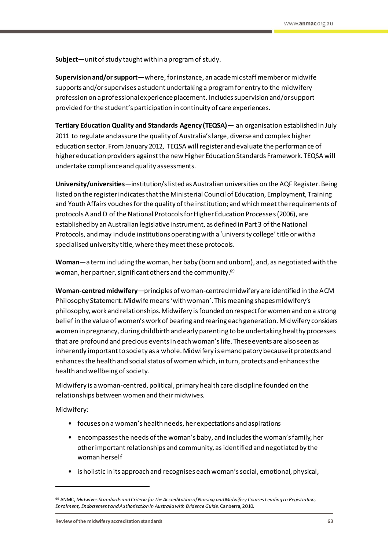– **Subject**—unit of study taught within a program of study.

– **Supervision and/or support**—where, for instance, an academic staff member or midwife supports and/or supervises a student undertaking a programfor entry to the midwifery profession on a professional experience placement. Includes supervision and/or support provided forthe student's participation in continuity of care experiences.

– **Tertiary Education Quality and Standards Agency (TEQSA)**— an organisation established in July 2011 to regulate and assure the quality of Australia's large, diverse and complex higher education sector. From January 2012, TEQSA will register and evaluate the performance of higher education providers against the new Higher Education Standards Framework. TEQSA will undertake compliance and quality assessments.

– **University/universities**—institution/s listed as Australian universities on the AQF Register. Being listed on the register indicates that the Ministerial Council of Education, Employment, Training and Youth Affairs vouches for the quality of the institution; and which meet the requirements of protocols A and D of the National Protocols for Higher Education Processes (2006), are established by an Australian legislative instrument, as defined in Part 3 of the National Protocols, and may include institutions operating with a 'university college' title or with a specialised university title, where they meet these protocols.

– **Woman**—a termincluding the woman, her baby (born and unborn), and, as negotiated with the woman, her partner, significant others and the community. 69

– **Woman-centred midwifery**—principles of woman-centred midwifery are identified in the ACM Philosophy Statement: Midwife means 'with woman'. This meaning shapes midwifery's philosophy, work and relationships. Midwifery is founded on respect for women and on a strong belief in the value of women's work of bearing and rearing each generation. Midwifery considers women in pregnancy, during childbirth and early parenting to be undertaking healthy processes that are profound and precious events in each woman's life. These events are also seen as inherently important to society as a whole. Midwifery is emancipatory because it protects and enhances the health and social status of women which, in turn, protects and enhances the health and wellbeing of society.

Midwifery is a woman-centred, political, primary health care discipline founded on the relationships between women and their midwives.

Midwifery:

- focuses on a woman's health needs, her expectations and aspirations
- encompasses the needs of the woman's baby, and includes the woman's family, her other important relationships and community, as identified and negotiated by the woman herself
- is holistic in its approach and recognises each woman's social, emotional, physical,

<sup>69</sup> ANMC, *Midwives Standards and Criteria for the Accreditation of Nursing and Midwifery Courses Leading to Registration, Enrolment, Endorsement and Authorisation in Australia with Evidence Guide*. Canberra, 2010.